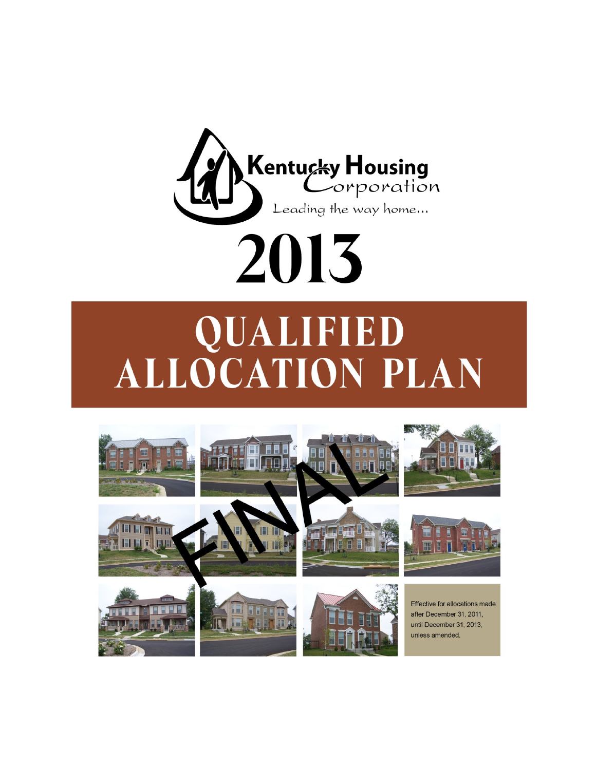

# **QUALIFIED<br>ALLOCATION PLAN**

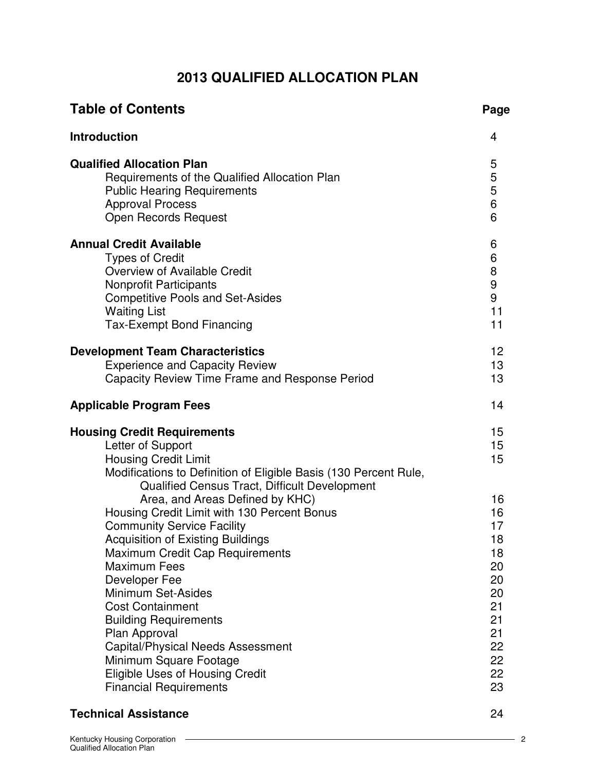# **2013 QUALIFIED ALLOCATION PLAN**

| <b>Table of Contents</b>                                                                                                                                                                                                                                                                                                                                                                                                                                                                                                                | Page                                                                                   |
|-----------------------------------------------------------------------------------------------------------------------------------------------------------------------------------------------------------------------------------------------------------------------------------------------------------------------------------------------------------------------------------------------------------------------------------------------------------------------------------------------------------------------------------------|----------------------------------------------------------------------------------------|
| <b>Introduction</b>                                                                                                                                                                                                                                                                                                                                                                                                                                                                                                                     | 4                                                                                      |
| <b>Qualified Allocation Plan</b><br>Requirements of the Qualified Allocation Plan<br><b>Public Hearing Requirements</b><br><b>Approval Process</b><br><b>Open Records Request</b>                                                                                                                                                                                                                                                                                                                                                       | 5<br>5<br>5<br>6<br>6                                                                  |
| <b>Annual Credit Available</b><br><b>Types of Credit</b><br>Overview of Available Credit<br>Nonprofit Participants<br><b>Competitive Pools and Set-Asides</b><br><b>Waiting List</b><br><b>Tax-Exempt Bond Financing</b>                                                                                                                                                                                                                                                                                                                | 6<br>6<br>8<br>9<br>9<br>11<br>11                                                      |
| <b>Development Team Characteristics</b><br><b>Experience and Capacity Review</b><br>Capacity Review Time Frame and Response Period                                                                                                                                                                                                                                                                                                                                                                                                      | 12<br>13<br>13                                                                         |
| <b>Applicable Program Fees</b>                                                                                                                                                                                                                                                                                                                                                                                                                                                                                                          | 14                                                                                     |
| <b>Housing Credit Requirements</b><br>Letter of Support<br><b>Housing Credit Limit</b><br>Modifications to Definition of Eligible Basis (130 Percent Rule,                                                                                                                                                                                                                                                                                                                                                                              | 15<br>15 <sub>1</sub><br>15                                                            |
| Qualified Census Tract, Difficult Development<br>Area, and Areas Defined by KHC)<br>Housing Credit Limit with 130 Percent Bonus<br><b>Community Service Facility</b><br>Acquisition of Existing Buildings<br><b>Maximum Credit Cap Requirements</b><br><b>Maximum Fees</b><br>Developer Fee<br>Minimum Set-Asides<br><b>Cost Containment</b><br><b>Building Requirements</b><br>Plan Approval<br>Capital/Physical Needs Assessment<br>Minimum Square Footage<br><b>Eligible Uses of Housing Credit</b><br><b>Financial Requirements</b> | 16<br>16<br>17<br>18<br>18<br>20<br>20<br>20<br>21<br>21<br>21<br>22<br>22<br>22<br>23 |

# **Technical Assistance** 24

 $\overline{\phantom{1}}$  2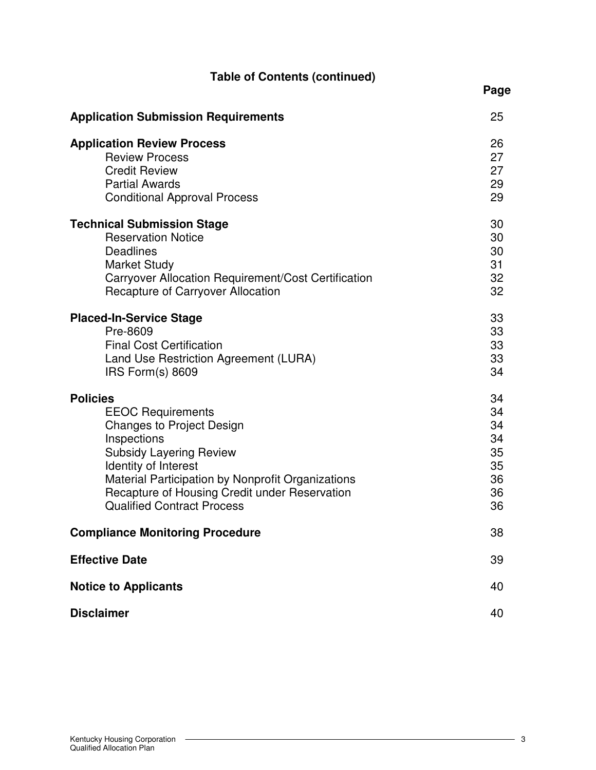| <b>Table of Contents (continued)</b>                |      |
|-----------------------------------------------------|------|
|                                                     | Page |
| <b>Application Submission Requirements</b>          | 25   |
| <b>Application Review Process</b>                   | 26   |
| <b>Review Process</b>                               | 27   |
| <b>Credit Review</b>                                | 27   |
| <b>Partial Awards</b>                               | 29   |
| <b>Conditional Approval Process</b>                 | 29   |
| <b>Technical Submission Stage</b>                   | 30   |
| <b>Reservation Notice</b>                           | 30   |
| <b>Deadlines</b>                                    | 30   |
| <b>Market Study</b>                                 | 31   |
| Carryover Allocation Requirement/Cost Certification | 32   |
| Recapture of Carryover Allocation                   | 32   |
| <b>Placed-In-Service Stage</b>                      | 33   |
| Pre-8609                                            | 33   |
| <b>Final Cost Certification</b>                     | 33   |
| Land Use Restriction Agreement (LURA)               | 33   |
| IRS Form(s) 8609                                    | 34   |
| <b>Policies</b>                                     | 34   |
| <b>EEOC Requirements</b>                            | 34   |
| <b>Changes to Project Design</b>                    | 34   |
| Inspections                                         | 34   |
| <b>Subsidy Layering Review</b>                      | 35   |
| Identity of Interest                                | 35   |
| Material Participation by Nonprofit Organizations   | 36   |
| Recapture of Housing Credit under Reservation       | 36   |
| <b>Qualified Contract Process</b>                   | 36   |
| <b>Compliance Monitoring Procedure</b>              | 38   |
| <b>Effective Date</b>                               | 39   |
| <b>Notice to Applicants</b>                         | 40   |
| <b>Disclaimer</b>                                   | 40   |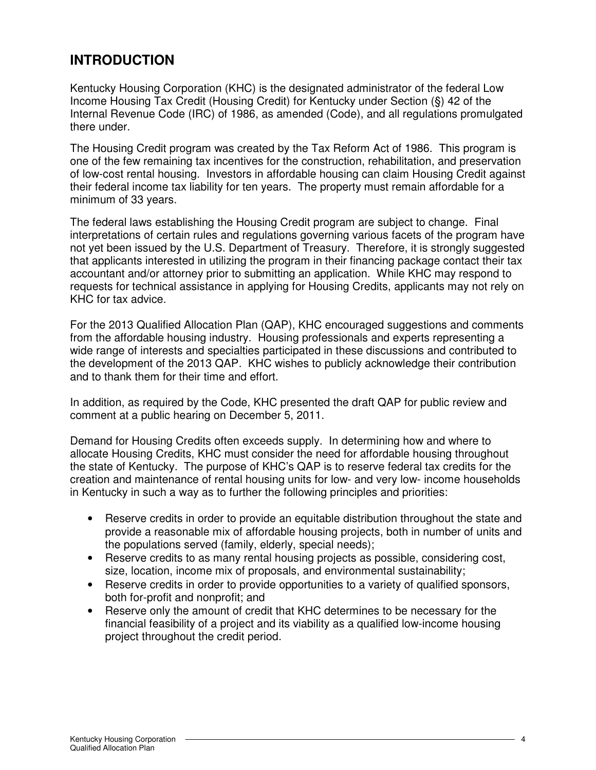# **INTRODUCTION**

Kentucky Housing Corporation (KHC) is the designated administrator of the federal Low Income Housing Tax Credit (Housing Credit) for Kentucky under Section (§) 42 of the Internal Revenue Code (IRC) of 1986, as amended (Code), and all regulations promulgated there under.

The Housing Credit program was created by the Tax Reform Act of 1986. This program is one of the few remaining tax incentives for the construction, rehabilitation, and preservation of low-cost rental housing. Investors in affordable housing can claim Housing Credit against their federal income tax liability for ten years. The property must remain affordable for a minimum of 33 years.

The federal laws establishing the Housing Credit program are subject to change. Final interpretations of certain rules and regulations governing various facets of the program have not yet been issued by the U.S. Department of Treasury. Therefore, it is strongly suggested that applicants interested in utilizing the program in their financing package contact their tax accountant and/or attorney prior to submitting an application. While KHC may respond to requests for technical assistance in applying for Housing Credits, applicants may not rely on KHC for tax advice.

For the 2013 Qualified Allocation Plan (QAP), KHC encouraged suggestions and comments from the affordable housing industry. Housing professionals and experts representing a wide range of interests and specialties participated in these discussions and contributed to the development of the 2013 QAP. KHC wishes to publicly acknowledge their contribution and to thank them for their time and effort.

In addition, as required by the Code, KHC presented the draft QAP for public review and comment at a public hearing on December 5, 2011.

Demand for Housing Credits often exceeds supply. In determining how and where to allocate Housing Credits, KHC must consider the need for affordable housing throughout the state of Kentucky. The purpose of KHC's QAP is to reserve federal tax credits for the creation and maintenance of rental housing units for low- and very low- income households in Kentucky in such a way as to further the following principles and priorities:

- Reserve credits in order to provide an equitable distribution throughout the state and provide a reasonable mix of affordable housing projects, both in number of units and the populations served (family, elderly, special needs);
- Reserve credits to as many rental housing projects as possible, considering cost, size, location, income mix of proposals, and environmental sustainability;
- Reserve credits in order to provide opportunities to a variety of qualified sponsors, both for-profit and nonprofit; and
- Reserve only the amount of credit that KHC determines to be necessary for the financial feasibility of a project and its viability as a qualified low-income housing project throughout the credit period.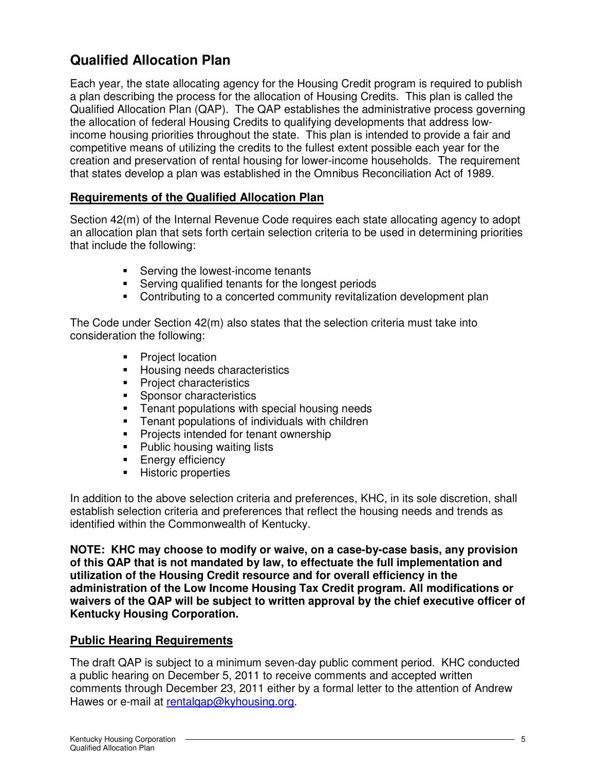# **Qualified Allocation Plan**

Each year, the state allocating agency for the Housing Credit program is required to publish a plan describing the process for the allocation of Housing Credits. This plan is called the Qualified Allocation Plan (QAP). The QAP establishes the administrative process governing the allocation of federal Housing Credits to qualifying developments that address lowincome housing priorities throughout the state. This plan is intended to provide a fair and competitive means of utilizing the credits to the fullest extent possible each year for the creation and preservation of rental housing for lower-income households. The requirement that states develop a plan was established in the Omnibus Reconciliation Act of 1989.

## **Requirements of the Qualified Allocation Plan**

Section 42(m) of the Internal Revenue Code requires each state allocating agency to adopt an allocation plan that sets forth certain selection criteria to be used in determining priorities that include the following:

- **Serving the lowest-income tenants**
- **Serving qualified tenants for the longest periods**
- Contributing to a concerted community revitalization development plan

The Code under Section 42(m) also states that the selection criteria must take into consideration the following:

- Project location
- **Housing needs characteristics**
- **Project characteristics**
- **Sponsor characteristics**
- **Tenant populations with special housing needs**
- Tenant populations of individuals with children
- **Projects intended for tenant ownership**
- **Public housing waiting lists**
- **Energy efficiency**
- **Historic properties**

In addition to the above selection criteria and preferences, KHC, in its sole discretion, shall establish selection criteria and preferences that reflect the housing needs and trends as identified within the Commonwealth of Kentucky.

**NOTE: KHC may choose to modify or waive, on a case-by-case basis, any provision of this QAP that is not mandated by law, to effectuate the full implementation and utilization of the Housing Credit resource and for overall efficiency in the administration of the Low Income Housing Tax Credit program. All modifications or waivers of the QAP will be subject to written approval by the chief executive officer of Kentucky Housing Corporation.**

## **Public Hearing Requirements**

The draft QAP is subject to a minimum seven-day public comment period. KHC conducted a public hearing on December 5, 2011 to receive comments and accepted written comments through December 23, 2011 either by a formal letter to the attention of Andrew Hawes or e-mail at rentalgap@kyhousing.org.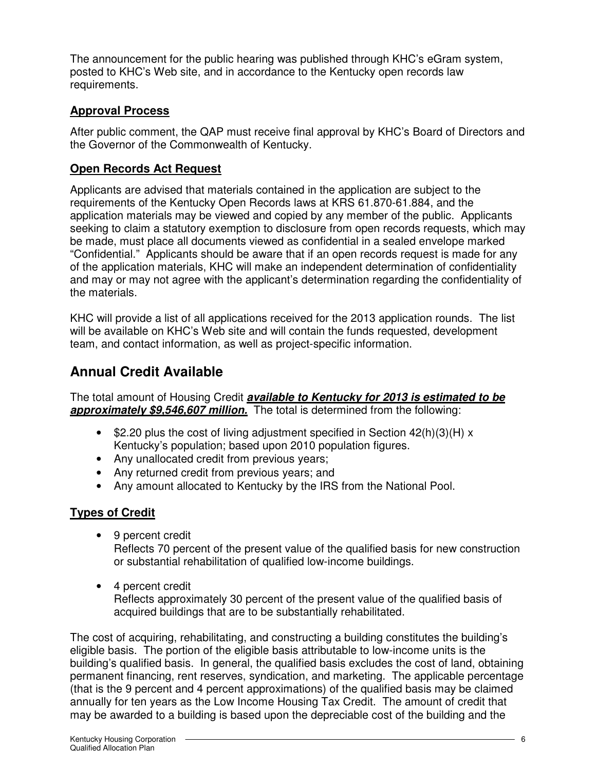The announcement for the public hearing was published through KHC's eGram system, posted to KHC's Web site, and in accordance to the Kentucky open records law requirements.

## **Approval Process**

After public comment, the QAP must receive final approval by KHC's Board of Directors and the Governor of the Commonwealth of Kentucky.

# **Open Records Act Request**

Applicants are advised that materials contained in the application are subject to the requirements of the Kentucky Open Records laws at KRS 61.870-61.884, and the application materials may be viewed and copied by any member of the public. Applicants seeking to claim a statutory exemption to disclosure from open records requests, which may be made, must place all documents viewed as confidential in a sealed envelope marked "Confidential." Applicants should be aware that if an open records request is made for any of the application materials, KHC will make an independent determination of confidentiality and may or may not agree with the applicant's determination regarding the confidentiality of the materials.

KHC will provide a list of all applications received for the 2013 application rounds. The list will be available on KHC's Web site and will contain the funds requested, development team, and contact information, as well as project-specific information.

# **Annual Credit Available**

The total amount of Housing Credit **available to Kentucky for 2013 is estimated to be approximately \$9,546,607 million.** The total is determined from the following:

- \$2.20 plus the cost of living adjustment specified in Section  $42(h)(3)(H) x$ Kentucky's population; based upon 2010 population figures.
- Any unallocated credit from previous years;
- Any returned credit from previous years; and
- Any amount allocated to Kentucky by the IRS from the National Pool.

# **Types of Credit**

- 9 percent credit Reflects 70 percent of the present value of the qualified basis for new construction or substantial rehabilitation of qualified low-income buildings.
- 4 percent credit Reflects approximately 30 percent of the present value of the qualified basis of acquired buildings that are to be substantially rehabilitated.

The cost of acquiring, rehabilitating, and constructing a building constitutes the building's eligible basis. The portion of the eligible basis attributable to low-income units is the building's qualified basis. In general, the qualified basis excludes the cost of land, obtaining permanent financing, rent reserves, syndication, and marketing. The applicable percentage (that is the 9 percent and 4 percent approximations) of the qualified basis may be claimed annually for ten years as the Low Income Housing Tax Credit. The amount of credit that may be awarded to a building is based upon the depreciable cost of the building and the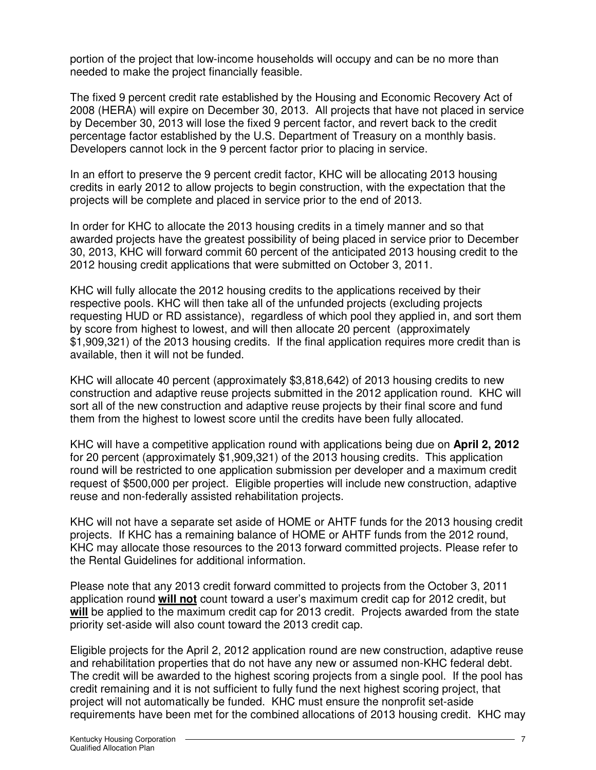portion of the project that low-income households will occupy and can be no more than needed to make the project financially feasible.

The fixed 9 percent credit rate established by the Housing and Economic Recovery Act of 2008 (HERA) will expire on December 30, 2013. All projects that have not placed in service by December 30, 2013 will lose the fixed 9 percent factor, and revert back to the credit percentage factor established by the U.S. Department of Treasury on a monthly basis. Developers cannot lock in the 9 percent factor prior to placing in service.

In an effort to preserve the 9 percent credit factor, KHC will be allocating 2013 housing credits in early 2012 to allow projects to begin construction, with the expectation that the projects will be complete and placed in service prior to the end of 2013.

In order for KHC to allocate the 2013 housing credits in a timely manner and so that awarded projects have the greatest possibility of being placed in service prior to December 30, 2013, KHC will forward commit 60 percent of the anticipated 2013 housing credit to the 2012 housing credit applications that were submitted on October 3, 2011.

KHC will fully allocate the 2012 housing credits to the applications received by their respective pools. KHC will then take all of the unfunded projects (excluding projects requesting HUD or RD assistance), regardless of which pool they applied in, and sort them by score from highest to lowest, and will then allocate 20 percent (approximately \$1,909,321) of the 2013 housing credits. If the final application requires more credit than is available, then it will not be funded.

KHC will allocate 40 percent (approximately \$3,818,642) of 2013 housing credits to new construction and adaptive reuse projects submitted in the 2012 application round. KHC will sort all of the new construction and adaptive reuse projects by their final score and fund them from the highest to lowest score until the credits have been fully allocated.

KHC will have a competitive application round with applications being due on **April 2, 2012** for 20 percent (approximately \$1,909,321) of the 2013 housing credits. This application round will be restricted to one application submission per developer and a maximum credit request of \$500,000 per project. Eligible properties will include new construction, adaptive reuse and non-federally assisted rehabilitation projects.

KHC will not have a separate set aside of HOME or AHTF funds for the 2013 housing credit projects. If KHC has a remaining balance of HOME or AHTF funds from the 2012 round, KHC may allocate those resources to the 2013 forward committed projects. Please refer to the Rental Guidelines for additional information.

Please note that any 2013 credit forward committed to projects from the October 3, 2011 application round **will not** count toward a user's maximum credit cap for 2012 credit, but **will** be applied to the maximum credit cap for 2013 credit. Projects awarded from the state priority set-aside will also count toward the 2013 credit cap.

Eligible projects for the April 2, 2012 application round are new construction, adaptive reuse and rehabilitation properties that do not have any new or assumed non-KHC federal debt. The credit will be awarded to the highest scoring projects from a single pool. If the pool has credit remaining and it is not sufficient to fully fund the next highest scoring project, that project will not automatically be funded. KHC must ensure the nonprofit set-aside requirements have been met for the combined allocations of 2013 housing credit. KHC may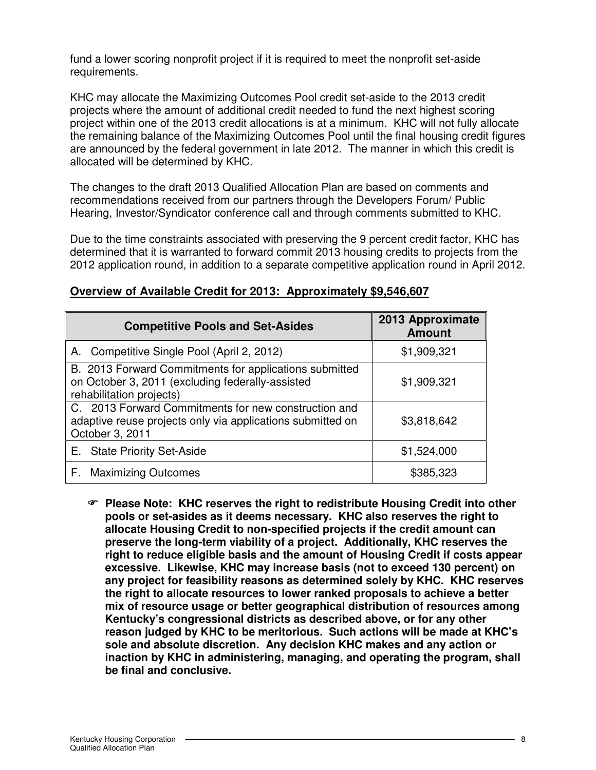fund a lower scoring nonprofit project if it is required to meet the nonprofit set-aside requirements.

KHC may allocate the Maximizing Outcomes Pool credit set-aside to the 2013 credit projects where the amount of additional credit needed to fund the next highest scoring project within one of the 2013 credit allocations is at a minimum. KHC will not fully allocate the remaining balance of the Maximizing Outcomes Pool until the final housing credit figures are announced by the federal government in late 2012. The manner in which this credit is allocated will be determined by KHC.

The changes to the draft 2013 Qualified Allocation Plan are based on comments and recommendations received from our partners through the Developers Forum/ Public Hearing, Investor/Syndicator conference call and through comments submitted to KHC.

Due to the time constraints associated with preserving the 9 percent credit factor, KHC has determined that it is warranted to forward commit 2013 housing credits to projects from the 2012 application round, in addition to a separate competitive application round in April 2012.

| <b>Competitive Pools and Set-Asides</b>                                                                                                | 2013 Approximate<br><b>Amount</b> |
|----------------------------------------------------------------------------------------------------------------------------------------|-----------------------------------|
| A. Competitive Single Pool (April 2, 2012)                                                                                             | \$1,909,321                       |
| B. 2013 Forward Commitments for applications submitted<br>on October 3, 2011 (excluding federally-assisted<br>rehabilitation projects) | \$1,909,321                       |
| C. 2013 Forward Commitments for new construction and<br>adaptive reuse projects only via applications submitted on<br>October 3, 2011  | \$3,818,642                       |
| E. State Priority Set-Aside                                                                                                            | \$1,524,000                       |
| <b>Maximizing Outcomes</b><br>F.                                                                                                       | \$385,323                         |

## **Overview of Available Credit for 2013: Approximately \$9,546,607**

- **Please Note: KHC reserves the right to redistribute Housing Credit into other pools or set-asides as it deems necessary. KHC also reserves the right to allocate Housing Credit to non-specified projects if the credit amount can preserve the long-term viability of a project. Additionally, KHC reserves the right to reduce eligible basis and the amount of Housing Credit if costs appear excessive. Likewise, KHC may increase basis (not to exceed 130 percent) on any project for feasibility reasons as determined solely by KHC. KHC reserves the right to allocate resources to lower ranked proposals to achieve a better mix of resource usage or better geographical distribution of resources among Kentucky's congressional districts as described above, or for any other reason judged by KHC to be meritorious. Such actions will be made at KHC's sole and absolute discretion. Any decision KHC makes and any action or inaction by KHC in administering, managing, and operating the program, shall be final and conclusive.**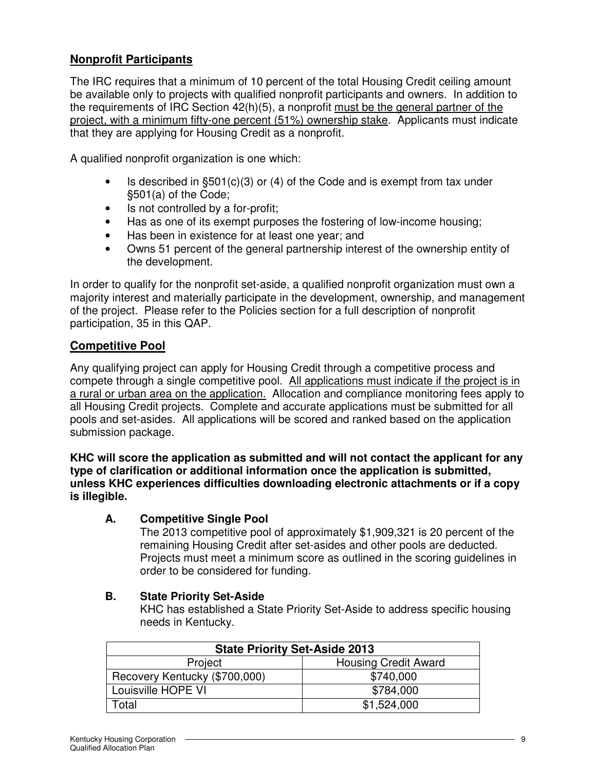# **Nonprofit Participants**

The IRC requires that a minimum of 10 percent of the total Housing Credit ceiling amount be available only to projects with qualified nonprofit participants and owners. In addition to the requirements of IRC Section 42(h)(5), a nonprofit must be the general partner of the project, with a minimum fifty-one percent (51%) ownership stake. Applicants must indicate that they are applying for Housing Credit as a nonprofit.

A qualified nonprofit organization is one which:

- Is described in  $\S501(c)(3)$  or (4) of the Code and is exempt from tax under §501(a) of the Code;
- Is not controlled by a for-profit;
- Has as one of its exempt purposes the fostering of low-income housing;
- Has been in existence for at least one year; and
- Owns 51 percent of the general partnership interest of the ownership entity of the development.

In order to qualify for the nonprofit set-aside, a qualified nonprofit organization must own a majority interest and materially participate in the development, ownership, and management of the project. Please refer to the Policies section for a full description of nonprofit participation, 35 in this QAP.

## **Competitive Pool**

Any qualifying project can apply for Housing Credit through a competitive process and compete through a single competitive pool. All applications must indicate if the project is in a rural or urban area on the application. Allocation and compliance monitoring fees apply to all Housing Credit projects. Complete and accurate applications must be submitted for all pools and set-asides. All applications will be scored and ranked based on the application submission package.

#### **KHC will score the application as submitted and will not contact the applicant for any type of clarification or additional information once the application is submitted, unless KHC experiences difficulties downloading electronic attachments or if a copy is illegible.**

## **A. Competitive Single Pool**

The 2013 competitive pool of approximately \$1,909,321 is 20 percent of the remaining Housing Credit after set-asides and other pools are deducted. Projects must meet a minimum score as outlined in the scoring guidelines in order to be considered for funding.

## **B. State Priority Set-Aside**

KHC has established a State Priority Set-Aside to address specific housing needs in Kentucky.

| <b>State Priority Set-Aside 2013</b>   |             |  |  |
|----------------------------------------|-------------|--|--|
| Project<br><b>Housing Credit Award</b> |             |  |  |
| Recovery Kentucky (\$700,000)          | \$740,000   |  |  |
| Louisville HOPE VI                     | \$784,000   |  |  |
| Total                                  | \$1,524,000 |  |  |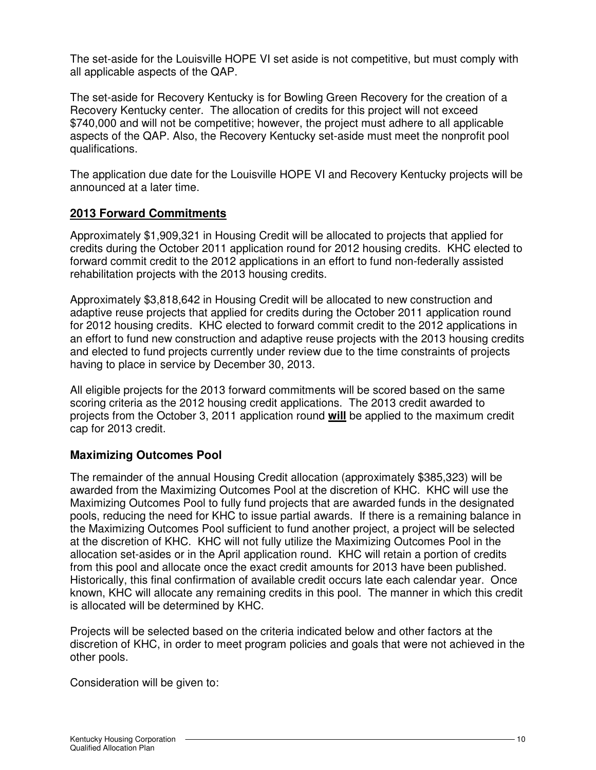The set-aside for the Louisville HOPE VI set aside is not competitive, but must comply with all applicable aspects of the QAP.

The set-aside for Recovery Kentucky is for Bowling Green Recovery for the creation of a Recovery Kentucky center. The allocation of credits for this project will not exceed \$740,000 and will not be competitive; however, the project must adhere to all applicable aspects of the QAP. Also, the Recovery Kentucky set-aside must meet the nonprofit pool qualifications.

The application due date for the Louisville HOPE VI and Recovery Kentucky projects will be announced at a later time.

## **2013 Forward Commitments**

Approximately \$1,909,321 in Housing Credit will be allocated to projects that applied for credits during the October 2011 application round for 2012 housing credits. KHC elected to forward commit credit to the 2012 applications in an effort to fund non-federally assisted rehabilitation projects with the 2013 housing credits.

Approximately \$3,818,642 in Housing Credit will be allocated to new construction and adaptive reuse projects that applied for credits during the October 2011 application round for 2012 housing credits. KHC elected to forward commit credit to the 2012 applications in an effort to fund new construction and adaptive reuse projects with the 2013 housing credits and elected to fund projects currently under review due to the time constraints of projects having to place in service by December 30, 2013.

All eligible projects for the 2013 forward commitments will be scored based on the same scoring criteria as the 2012 housing credit applications. The 2013 credit awarded to projects from the October 3, 2011 application round **will** be applied to the maximum credit cap for 2013 credit.

# **Maximizing Outcomes Pool**

The remainder of the annual Housing Credit allocation (approximately \$385,323) will be awarded from the Maximizing Outcomes Pool at the discretion of KHC. KHC will use the Maximizing Outcomes Pool to fully fund projects that are awarded funds in the designated pools, reducing the need for KHC to issue partial awards. If there is a remaining balance in the Maximizing Outcomes Pool sufficient to fund another project, a project will be selected at the discretion of KHC. KHC will not fully utilize the Maximizing Outcomes Pool in the allocation set-asides or in the April application round. KHC will retain a portion of credits from this pool and allocate once the exact credit amounts for 2013 have been published. Historically, this final confirmation of available credit occurs late each calendar year. Once known, KHC will allocate any remaining credits in this pool. The manner in which this credit is allocated will be determined by KHC.

Projects will be selected based on the criteria indicated below and other factors at the discretion of KHC, in order to meet program policies and goals that were not achieved in the other pools.

Consideration will be given to: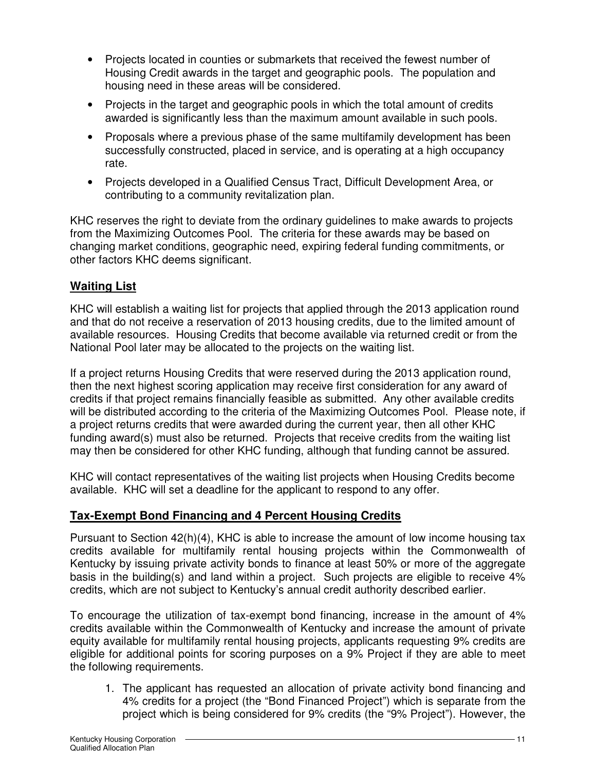- Projects located in counties or submarkets that received the fewest number of Housing Credit awards in the target and geographic pools. The population and housing need in these areas will be considered.
- Projects in the target and geographic pools in which the total amount of credits awarded is significantly less than the maximum amount available in such pools.
- Proposals where a previous phase of the same multifamily development has been successfully constructed, placed in service, and is operating at a high occupancy rate.
- Projects developed in a Qualified Census Tract, Difficult Development Area, or contributing to a community revitalization plan.

KHC reserves the right to deviate from the ordinary guidelines to make awards to projects from the Maximizing Outcomes Pool. The criteria for these awards may be based on changing market conditions, geographic need, expiring federal funding commitments, or other factors KHC deems significant.

# **Waiting List**

KHC will establish a waiting list for projects that applied through the 2013 application round and that do not receive a reservation of 2013 housing credits, due to the limited amount of available resources. Housing Credits that become available via returned credit or from the National Pool later may be allocated to the projects on the waiting list.

If a project returns Housing Credits that were reserved during the 2013 application round, then the next highest scoring application may receive first consideration for any award of credits if that project remains financially feasible as submitted. Any other available credits will be distributed according to the criteria of the Maximizing Outcomes Pool. Please note, if a project returns credits that were awarded during the current year, then all other KHC funding award(s) must also be returned. Projects that receive credits from the waiting list may then be considered for other KHC funding, although that funding cannot be assured.

KHC will contact representatives of the waiting list projects when Housing Credits become available. KHC will set a deadline for the applicant to respond to any offer.

# **Tax-Exempt Bond Financing and 4 Percent Housing Credits**

Pursuant to Section 42(h)(4), KHC is able to increase the amount of low income housing tax credits available for multifamily rental housing projects within the Commonwealth of Kentucky by issuing private activity bonds to finance at least 50% or more of the aggregate basis in the building(s) and land within a project. Such projects are eligible to receive 4% credits, which are not subject to Kentucky's annual credit authority described earlier.

To encourage the utilization of tax-exempt bond financing, increase in the amount of 4% credits available within the Commonwealth of Kentucky and increase the amount of private equity available for multifamily rental housing projects, applicants requesting 9% credits are eligible for additional points for scoring purposes on a 9% Project if they are able to meet the following requirements.

1. The applicant has requested an allocation of private activity bond financing and 4% credits for a project (the "Bond Financed Project") which is separate from the project which is being considered for 9% credits (the "9% Project"). However, the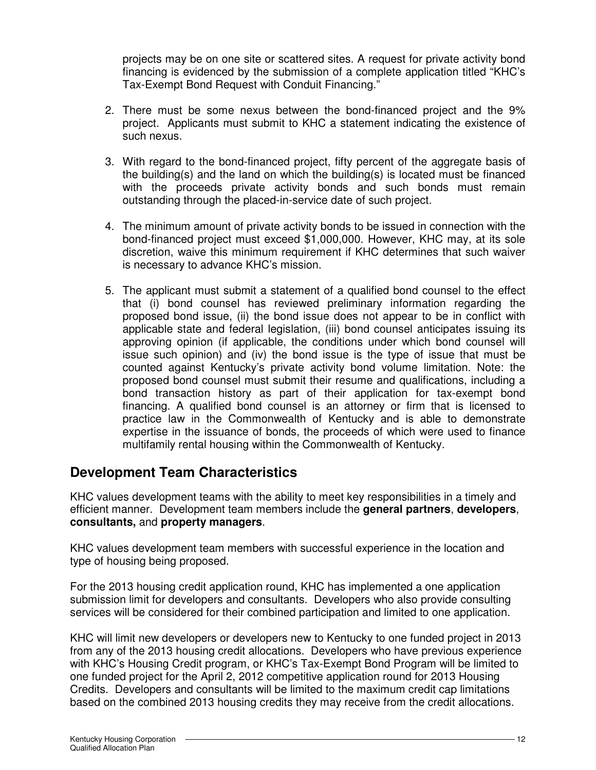projects may be on one site or scattered sites. A request for private activity bond financing is evidenced by the submission of a complete application titled "KHC's Tax-Exempt Bond Request with Conduit Financing."

- 2. There must be some nexus between the bond-financed project and the 9% project. Applicants must submit to KHC a statement indicating the existence of such nexus.
- 3. With regard to the bond-financed project, fifty percent of the aggregate basis of the building(s) and the land on which the building(s) is located must be financed with the proceeds private activity bonds and such bonds must remain outstanding through the placed-in-service date of such project.
- 4. The minimum amount of private activity bonds to be issued in connection with the bond-financed project must exceed \$1,000,000. However, KHC may, at its sole discretion, waive this minimum requirement if KHC determines that such waiver is necessary to advance KHC's mission.
- 5. The applicant must submit a statement of a qualified bond counsel to the effect that (i) bond counsel has reviewed preliminary information regarding the proposed bond issue, (ii) the bond issue does not appear to be in conflict with applicable state and federal legislation, (iii) bond counsel anticipates issuing its approving opinion (if applicable, the conditions under which bond counsel will issue such opinion) and (iv) the bond issue is the type of issue that must be counted against Kentucky's private activity bond volume limitation. Note: the proposed bond counsel must submit their resume and qualifications, including a bond transaction history as part of their application for tax-exempt bond financing. A qualified bond counsel is an attorney or firm that is licensed to practice law in the Commonwealth of Kentucky and is able to demonstrate expertise in the issuance of bonds, the proceeds of which were used to finance multifamily rental housing within the Commonwealth of Kentucky.

# **Development Team Characteristics**

KHC values development teams with the ability to meet key responsibilities in a timely and efficient manner. Development team members include the **general partners**, **developers**, **consultants,** and **property managers**.

KHC values development team members with successful experience in the location and type of housing being proposed.

For the 2013 housing credit application round, KHC has implemented a one application submission limit for developers and consultants. Developers who also provide consulting services will be considered for their combined participation and limited to one application.

KHC will limit new developers or developers new to Kentucky to one funded project in 2013 from any of the 2013 housing credit allocations. Developers who have previous experience with KHC's Housing Credit program, or KHC's Tax-Exempt Bond Program will be limited to one funded project for the April 2, 2012 competitive application round for 2013 Housing Credits. Developers and consultants will be limited to the maximum credit cap limitations based on the combined 2013 housing credits they may receive from the credit allocations.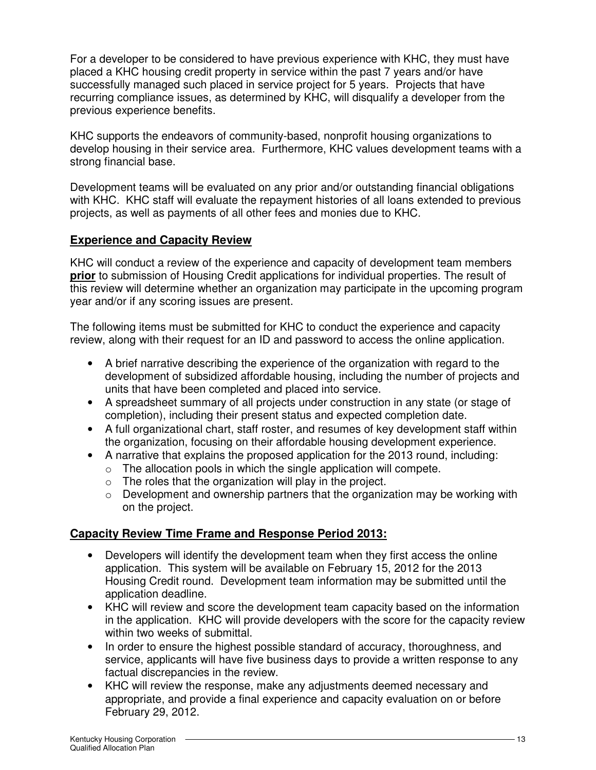For a developer to be considered to have previous experience with KHC, they must have placed a KHC housing credit property in service within the past 7 years and/or have successfully managed such placed in service project for 5 years. Projects that have recurring compliance issues, as determined by KHC, will disqualify a developer from the previous experience benefits.

KHC supports the endeavors of community-based, nonprofit housing organizations to develop housing in their service area. Furthermore, KHC values development teams with a strong financial base.

Development teams will be evaluated on any prior and/or outstanding financial obligations with KHC. KHC staff will evaluate the repayment histories of all loans extended to previous projects, as well as payments of all other fees and monies due to KHC.

## **Experience and Capacity Review**

KHC will conduct a review of the experience and capacity of development team members **prior** to submission of Housing Credit applications for individual properties. The result of this review will determine whether an organization may participate in the upcoming program year and/or if any scoring issues are present.

The following items must be submitted for KHC to conduct the experience and capacity review, along with their request for an ID and password to access the online application.

- A brief narrative describing the experience of the organization with regard to the development of subsidized affordable housing, including the number of projects and units that have been completed and placed into service.
- A spreadsheet summary of all projects under construction in any state (or stage of completion), including their present status and expected completion date.
- A full organizational chart, staff roster, and resumes of key development staff within the organization, focusing on their affordable housing development experience.
- A narrative that explains the proposed application for the 2013 round, including:
	- $\circ$  The allocation pools in which the single application will compete.
	- $\circ$  The roles that the organization will play in the project.
	- $\circ$  Development and ownership partners that the organization may be working with on the project.

## **Capacity Review Time Frame and Response Period 2013:**

- Developers will identify the development team when they first access the online application. This system will be available on February 15, 2012 for the 2013 Housing Credit round. Development team information may be submitted until the application deadline.
- KHC will review and score the development team capacity based on the information in the application. KHC will provide developers with the score for the capacity review within two weeks of submittal.
- In order to ensure the highest possible standard of accuracy, thoroughness, and service, applicants will have five business days to provide a written response to any factual discrepancies in the review.
- KHC will review the response, make any adjustments deemed necessary and appropriate, and provide a final experience and capacity evaluation on or before February 29, 2012.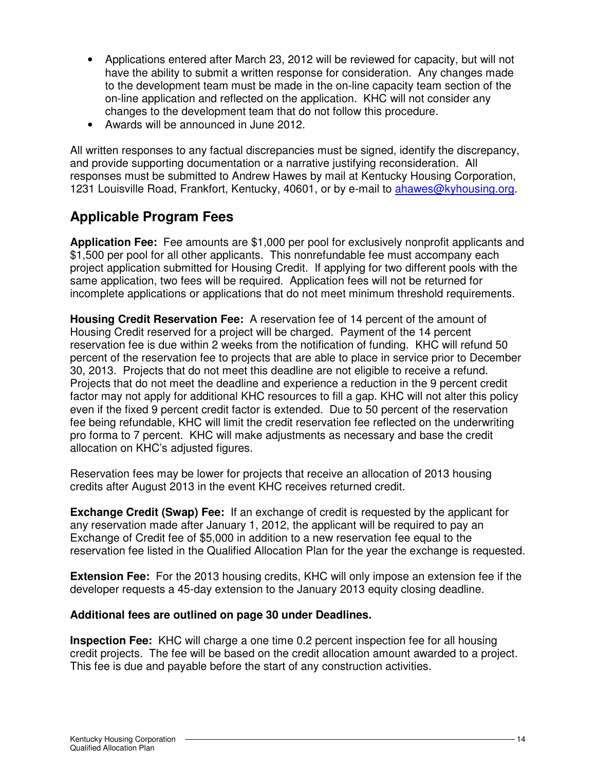- Applications entered after March 23, 2012 will be reviewed for capacity, but will not have the ability to submit a written response for consideration. Any changes made to the development team must be made in the on-line capacity team section of the on-line application and reflected on the application. KHC will not consider any changes to the development team that do not follow this procedure.
- Awards will be announced in June 2012.

All written responses to any factual discrepancies must be signed, identify the discrepancy, and provide supporting documentation or a narrative justifying reconsideration. All responses must be submitted to Andrew Hawes by mail at Kentucky Housing Corporation, 1231 Louisville Road, Frankfort, Kentucky, 40601, or by e-mail to ahawes@kyhousing.org.

# **Applicable Program Fees**

**Application Fee:** Fee amounts are \$1,000 per pool for exclusively nonprofit applicants and \$1,500 per pool for all other applicants. This nonrefundable fee must accompany each project application submitted for Housing Credit. If applying for two different pools with the same application, two fees will be required. Application fees will not be returned for incomplete applications or applications that do not meet minimum threshold requirements.

**Housing Credit Reservation Fee:** A reservation fee of 14 percent of the amount of Housing Credit reserved for a project will be charged. Payment of the 14 percent reservation fee is due within 2 weeks from the notification of funding. KHC will refund 50 percent of the reservation fee to projects that are able to place in service prior to December 30, 2013. Projects that do not meet this deadline are not eligible to receive a refund. Projects that do not meet the deadline and experience a reduction in the 9 percent credit factor may not apply for additional KHC resources to fill a gap. KHC will not alter this policy even if the fixed 9 percent credit factor is extended. Due to 50 percent of the reservation fee being refundable, KHC will limit the credit reservation fee reflected on the underwriting pro forma to 7 percent. KHC will make adjustments as necessary and base the credit allocation on KHC's adjusted figures.

Reservation fees may be lower for projects that receive an allocation of 2013 housing credits after August 2013 in the event KHC receives returned credit.

**Exchange Credit (Swap) Fee:** If an exchange of credit is requested by the applicant for any reservation made after January 1, 2012, the applicant will be required to pay an Exchange of Credit fee of \$5,000 in addition to a new reservation fee equal to the reservation fee listed in the Qualified Allocation Plan for the year the exchange is requested.

**Extension Fee:** For the 2013 housing credits, KHC will only impose an extension fee if the developer requests a 45-day extension to the January 2013 equity closing deadline.

#### **Additional fees are outlined on page 30 under Deadlines.**

**Inspection Fee:** KHC will charge a one time 0.2 percent inspection fee for all housing credit projects. The fee will be based on the credit allocation amount awarded to a project. This fee is due and payable before the start of any construction activities.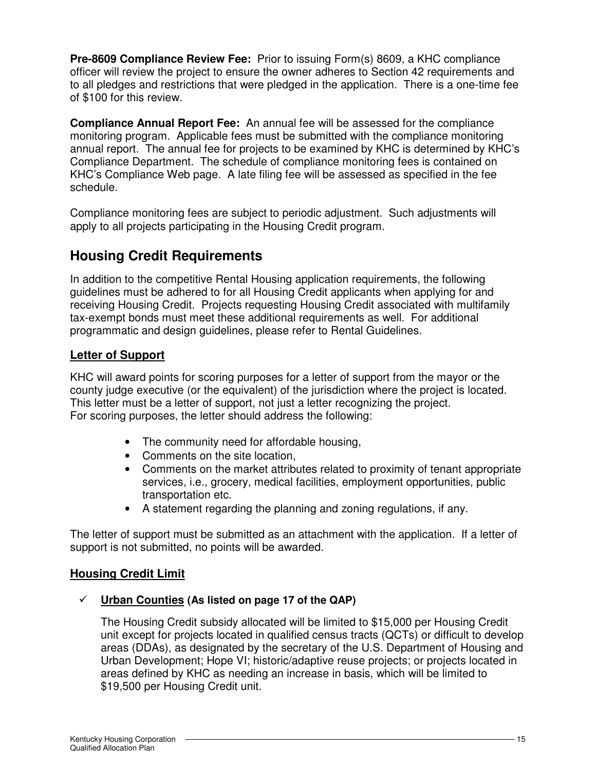**Pre-8609 Compliance Review Fee:** Prior to issuing Form(s) 8609, a KHC compliance officer will review the project to ensure the owner adheres to Section 42 requirements and to all pledges and restrictions that were pledged in the application. There is a one-time fee of \$100 for this review.

**Compliance Annual Report Fee:** An annual fee will be assessed for the compliance monitoring program. Applicable fees must be submitted with the compliance monitoring annual report. The annual fee for projects to be examined by KHC is determined by KHC's Compliance Department. The schedule of compliance monitoring fees is contained on KHC's Compliance Web page. A late filing fee will be assessed as specified in the fee schedule.

Compliance monitoring fees are subject to periodic adjustment. Such adjustments will apply to all projects participating in the Housing Credit program.

# **Housing Credit Requirements**

In addition to the competitive Rental Housing application requirements, the following guidelines must be adhered to for all Housing Credit applicants when applying for and receiving Housing Credit. Projects requesting Housing Credit associated with multifamily tax-exempt bonds must meet these additional requirements as well. For additional programmatic and design guidelines, please refer to Rental Guidelines.

# **Letter of Support**

KHC will award points for scoring purposes for a letter of support from the mayor or the county judge executive (or the equivalent) of the jurisdiction where the project is located. This letter must be a letter of support, not just a letter recognizing the project. For scoring purposes, the letter should address the following:

- The community need for affordable housing,
- Comments on the site location,
- Comments on the market attributes related to proximity of tenant appropriate services, i.e., grocery, medical facilities, employment opportunities, public transportation etc.
- A statement regarding the planning and zoning regulations, if any.

The letter of support must be submitted as an attachment with the application. If a letter of support is not submitted, no points will be awarded.

# **Housing Credit Limit**

# **Urban Counties (As listed on page 17 of the QAP)**

The Housing Credit subsidy allocated will be limited to \$15,000 per Housing Credit unit except for projects located in qualified census tracts (QCTs) or difficult to develop areas (DDAs), as designated by the secretary of the U.S. Department of Housing and Urban Development; Hope VI; historic/adaptive reuse projects; or projects located in areas defined by KHC as needing an increase in basis, which will be limited to \$19,500 per Housing Credit unit.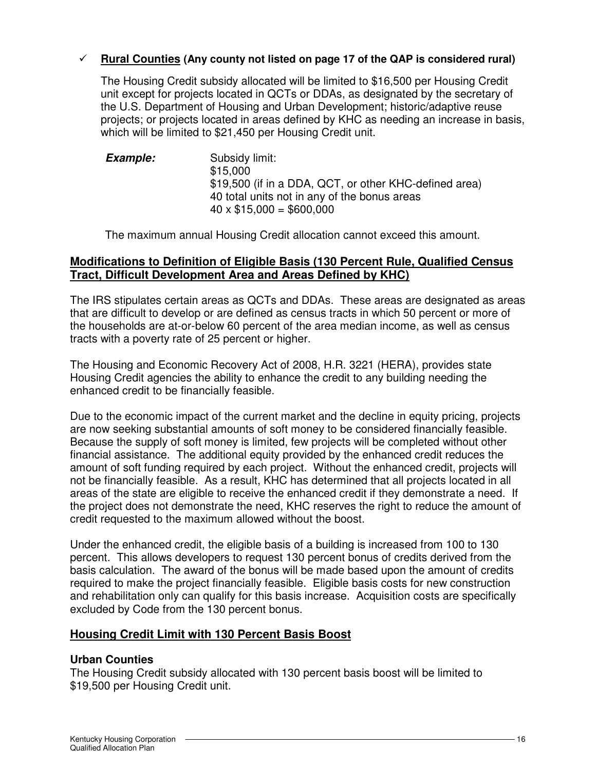## **Rural Counties (Any county not listed on page 17 of the QAP is considered rural)**

The Housing Credit subsidy allocated will be limited to \$16,500 per Housing Credit unit except for projects located in QCTs or DDAs, as designated by the secretary of the U.S. Department of Housing and Urban Development; historic/adaptive reuse projects; or projects located in areas defined by KHC as needing an increase in basis, which will be limited to \$21,450 per Housing Credit unit.

**Example:** Subsidy limit: \$15,000 \$19,500 (if in a DDA, QCT, or other KHC-defined area) 40 total units not in any of the bonus areas  $40 \times $15,000 = $600,000$ 

The maximum annual Housing Credit allocation cannot exceed this amount.

## **Modifications to Definition of Eligible Basis (130 Percent Rule, Qualified Census Tract, Difficult Development Area and Areas Defined by KHC)**

The IRS stipulates certain areas as QCTs and DDAs. These areas are designated as areas that are difficult to develop or are defined as census tracts in which 50 percent or more of the households are at-or-below 60 percent of the area median income, as well as census tracts with a poverty rate of 25 percent or higher.

The Housing and Economic Recovery Act of 2008, H.R. 3221 (HERA), provides state Housing Credit agencies the ability to enhance the credit to any building needing the enhanced credit to be financially feasible.

Due to the economic impact of the current market and the decline in equity pricing, projects are now seeking substantial amounts of soft money to be considered financially feasible. Because the supply of soft money is limited, few projects will be completed without other financial assistance. The additional equity provided by the enhanced credit reduces the amount of soft funding required by each project. Without the enhanced credit, projects will not be financially feasible. As a result, KHC has determined that all projects located in all areas of the state are eligible to receive the enhanced credit if they demonstrate a need. If the project does not demonstrate the need, KHC reserves the right to reduce the amount of credit requested to the maximum allowed without the boost.

Under the enhanced credit, the eligible basis of a building is increased from 100 to 130 percent. This allows developers to request 130 percent bonus of credits derived from the basis calculation. The award of the bonus will be made based upon the amount of credits required to make the project financially feasible. Eligible basis costs for new construction and rehabilitation only can qualify for this basis increase. Acquisition costs are specifically excluded by Code from the 130 percent bonus.

## **Housing Credit Limit with 130 Percent Basis Boost**

#### **Urban Counties**

The Housing Credit subsidy allocated with 130 percent basis boost will be limited to \$19,500 per Housing Credit unit.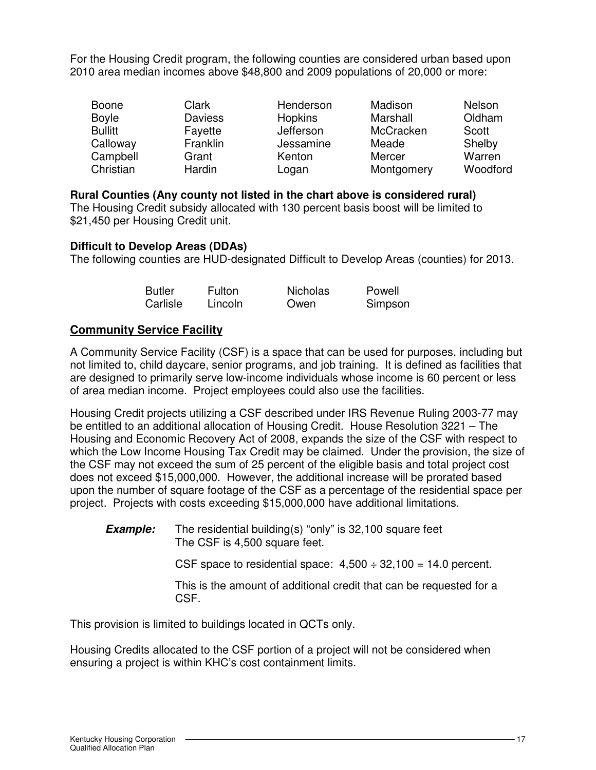For the Housing Credit program, the following counties are considered urban based upon 2010 area median incomes above \$48,800 and 2009 populations of 20,000 or more:

| <b>Boone</b>   | Clark          | Henderson | Madison    | <b>Nelson</b> |
|----------------|----------------|-----------|------------|---------------|
| <b>Boyle</b>   | <b>Daviess</b> | Hopkins   | Marshall   | Oldham        |
| <b>Bullitt</b> | Fayette        | Jefferson | McCracken  | Scott         |
| Calloway       | Franklin       | Jessamine | Meade      | Shelby        |
| Campbell       | Grant          | Kenton    | Mercer     | Warren        |
| Christian      | Hardin         | Logan     | Montgomery | Woodford      |

## **Rural Counties (Any county not listed in the chart above is considered rural)**

The Housing Credit subsidy allocated with 130 percent basis boost will be limited to \$21,450 per Housing Credit unit.

## **Difficult to Develop Areas (DDAs)**

The following counties are HUD-designated Difficult to Develop Areas (counties) for 2013.

| <b>Butler</b> | <b>Fulton</b> | <b>Nicholas</b> | Powell  |
|---------------|---------------|-----------------|---------|
| Carlisle      | Lincoln       | Owen            | Simpson |

## **Community Service Facility**

A Community Service Facility (CSF) is a space that can be used for purposes, including but not limited to, child daycare, senior programs, and job training. It is defined as facilities that are designed to primarily serve low-income individuals whose income is 60 percent or less of area median income. Project employees could also use the facilities.

Housing Credit projects utilizing a CSF described under IRS Revenue Ruling 2003-77 may be entitled to an additional allocation of Housing Credit. House Resolution 3221 – The Housing and Economic Recovery Act of 2008, expands the size of the CSF with respect to which the Low Income Housing Tax Credit may be claimed. Under the provision, the size of the CSF may not exceed the sum of 25 percent of the eligible basis and total project cost does not exceed \$15,000,000. However, the additional increase will be prorated based upon the number of square footage of the CSF as a percentage of the residential space per project. Projects with costs exceeding \$15,000,000 have additional limitations.

**Example:** The residential building(s) "only" is 32,100 square feet The CSF is 4,500 square feet.

CSF space to residential space:  $4,500 \div 32,100 = 14.0$  percent.

This is the amount of additional credit that can be requested for a CSF.

This provision is limited to buildings located in QCTs only.

Housing Credits allocated to the CSF portion of a project will not be considered when ensuring a project is within KHC's cost containment limits.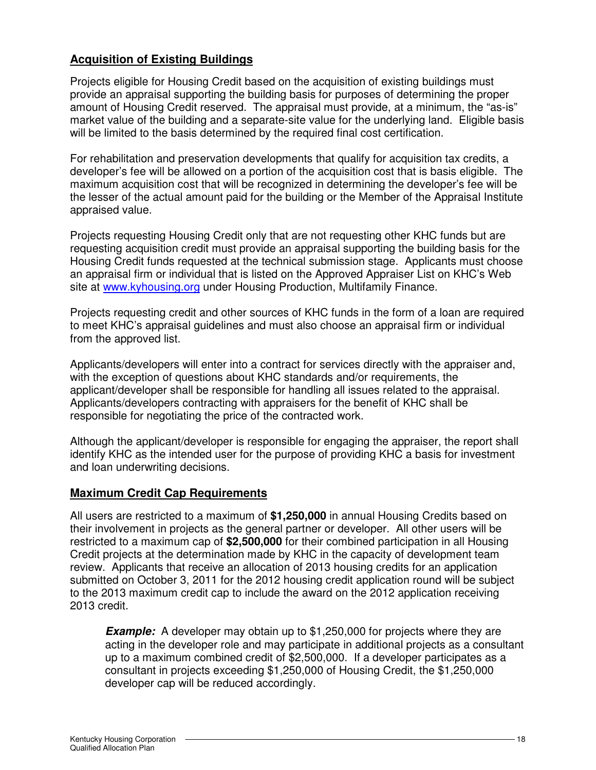## **Acquisition of Existing Buildings**

Projects eligible for Housing Credit based on the acquisition of existing buildings must provide an appraisal supporting the building basis for purposes of determining the proper amount of Housing Credit reserved. The appraisal must provide, at a minimum, the "as-is" market value of the building and a separate-site value for the underlying land. Eligible basis will be limited to the basis determined by the required final cost certification.

For rehabilitation and preservation developments that qualify for acquisition tax credits, a developer's fee will be allowed on a portion of the acquisition cost that is basis eligible. The maximum acquisition cost that will be recognized in determining the developer's fee will be the lesser of the actual amount paid for the building or the Member of the Appraisal Institute appraised value.

Projects requesting Housing Credit only that are not requesting other KHC funds but are requesting acquisition credit must provide an appraisal supporting the building basis for the Housing Credit funds requested at the technical submission stage. Applicants must choose an appraisal firm or individual that is listed on the Approved Appraiser List on KHC's Web site at www.kyhousing.org under Housing Production, Multifamily Finance.

Projects requesting credit and other sources of KHC funds in the form of a loan are required to meet KHC's appraisal guidelines and must also choose an appraisal firm or individual from the approved list.

Applicants/developers will enter into a contract for services directly with the appraiser and, with the exception of questions about KHC standards and/or requirements, the applicant/developer shall be responsible for handling all issues related to the appraisal. Applicants/developers contracting with appraisers for the benefit of KHC shall be responsible for negotiating the price of the contracted work.

Although the applicant/developer is responsible for engaging the appraiser, the report shall identify KHC as the intended user for the purpose of providing KHC a basis for investment and loan underwriting decisions.

## **Maximum Credit Cap Requirements**

All users are restricted to a maximum of **\$1,250,000** in annual Housing Credits based on their involvement in projects as the general partner or developer. All other users will be restricted to a maximum cap of **\$2,500,000** for their combined participation in all Housing Credit projects at the determination made by KHC in the capacity of development team review. Applicants that receive an allocation of 2013 housing credits for an application submitted on October 3, 2011 for the 2012 housing credit application round will be subject to the 2013 maximum credit cap to include the award on the 2012 application receiving 2013 credit.

**Example:** A developer may obtain up to \$1,250,000 for projects where they are acting in the developer role and may participate in additional projects as a consultant up to a maximum combined credit of \$2,500,000. If a developer participates as a consultant in projects exceeding \$1,250,000 of Housing Credit, the \$1,250,000 developer cap will be reduced accordingly.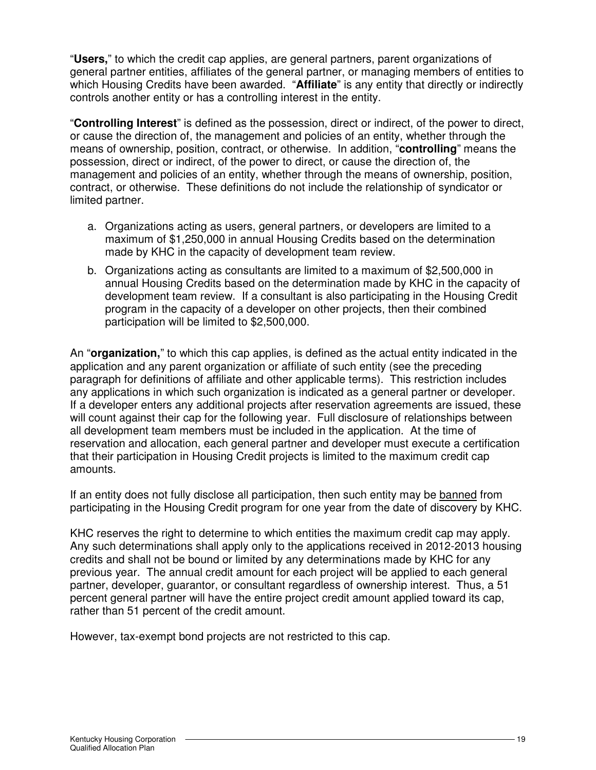"**Users,**" to which the credit cap applies, are general partners, parent organizations of general partner entities, affiliates of the general partner, or managing members of entities to which Housing Credits have been awarded. "**Affiliate**" is any entity that directly or indirectly controls another entity or has a controlling interest in the entity.

"**Controlling Interest**" is defined as the possession, direct or indirect, of the power to direct, or cause the direction of, the management and policies of an entity, whether through the means of ownership, position, contract, or otherwise. In addition, "**controlling**" means the possession, direct or indirect, of the power to direct, or cause the direction of, the management and policies of an entity, whether through the means of ownership, position, contract, or otherwise. These definitions do not include the relationship of syndicator or limited partner.

- a. Organizations acting as users, general partners, or developers are limited to a maximum of \$1,250,000 in annual Housing Credits based on the determination made by KHC in the capacity of development team review.
- b. Organizations acting as consultants are limited to a maximum of \$2,500,000 in annual Housing Credits based on the determination made by KHC in the capacity of development team review. If a consultant is also participating in the Housing Credit program in the capacity of a developer on other projects, then their combined participation will be limited to \$2,500,000.

An "**organization,**" to which this cap applies, is defined as the actual entity indicated in the application and any parent organization or affiliate of such entity (see the preceding paragraph for definitions of affiliate and other applicable terms). This restriction includes any applications in which such organization is indicated as a general partner or developer. If a developer enters any additional projects after reservation agreements are issued, these will count against their cap for the following year. Full disclosure of relationships between all development team members must be included in the application. At the time of reservation and allocation, each general partner and developer must execute a certification that their participation in Housing Credit projects is limited to the maximum credit cap amounts.

If an entity does not fully disclose all participation, then such entity may be banned from participating in the Housing Credit program for one year from the date of discovery by KHC.

KHC reserves the right to determine to which entities the maximum credit cap may apply. Any such determinations shall apply only to the applications received in 2012-2013 housing credits and shall not be bound or limited by any determinations made by KHC for any previous year. The annual credit amount for each project will be applied to each general partner, developer, guarantor, or consultant regardless of ownership interest. Thus, a 51 percent general partner will have the entire project credit amount applied toward its cap, rather than 51 percent of the credit amount.

However, tax-exempt bond projects are not restricted to this cap.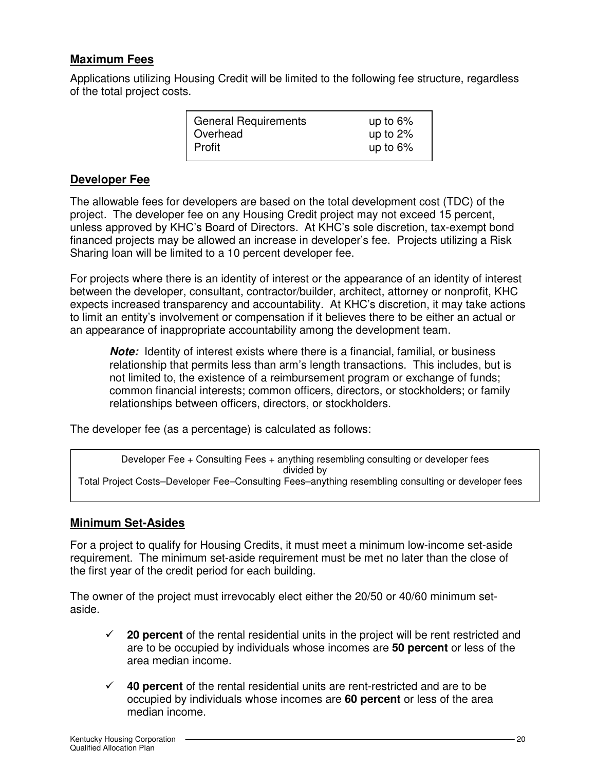## **Maximum Fees**

Applications utilizing Housing Credit will be limited to the following fee structure, regardless of the total project costs.

| <b>General Requirements</b> | up to $6\%$ |
|-----------------------------|-------------|
| Overhead                    | up to $2\%$ |
| Profit                      | up to $6\%$ |

## **Developer Fee**

The allowable fees for developers are based on the total development cost (TDC) of the project. The developer fee on any Housing Credit project may not exceed 15 percent, unless approved by KHC's Board of Directors. At KHC's sole discretion, tax-exempt bond financed projects may be allowed an increase in developer's fee. Projects utilizing a Risk Sharing loan will be limited to a 10 percent developer fee.

For projects where there is an identity of interest or the appearance of an identity of interest between the developer, consultant, contractor/builder, architect, attorney or nonprofit, KHC expects increased transparency and accountability. At KHC's discretion, it may take actions to limit an entity's involvement or compensation if it believes there to be either an actual or an appearance of inappropriate accountability among the development team.

**Note:** Identity of interest exists where there is a financial, familial, or business relationship that permits less than arm's length transactions. This includes, but is not limited to, the existence of a reimbursement program or exchange of funds; common financial interests; common officers, directors, or stockholders; or family relationships between officers, directors, or stockholders.

The developer fee (as a percentage) is calculated as follows:

Developer Fee + Consulting Fees + anything resembling consulting or developer fees divided by Total Project Costs–Developer Fee–Consulting Fees–anything resembling consulting or developer fees

## **Minimum Set-Asides**

For a project to qualify for Housing Credits, it must meet a minimum low-income set-aside requirement. The minimum set-aside requirement must be met no later than the close of the first year of the credit period for each building.

The owner of the project must irrevocably elect either the 20/50 or 40/60 minimum setaside.

- $\checkmark$  20 percent of the rental residential units in the project will be rent restricted and are to be occupied by individuals whose incomes are **50 percent** or less of the area median income.
- **40 percent** of the rental residential units are rent-restricted and are to be occupied by individuals whose incomes are **60 percent** or less of the area median income.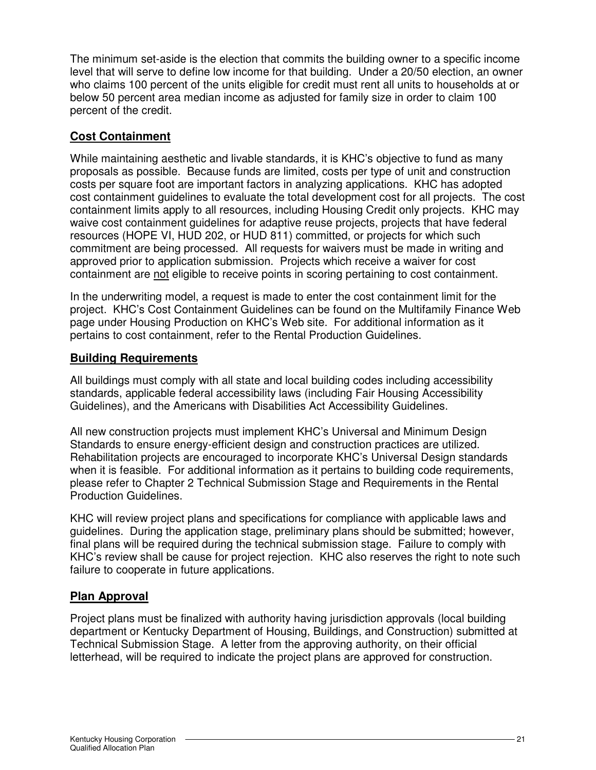The minimum set-aside is the election that commits the building owner to a specific income level that will serve to define low income for that building. Under a 20/50 election, an owner who claims 100 percent of the units eligible for credit must rent all units to households at or below 50 percent area median income as adjusted for family size in order to claim 100 percent of the credit.

# **Cost Containment**

While maintaining aesthetic and livable standards, it is KHC's objective to fund as many proposals as possible. Because funds are limited, costs per type of unit and construction costs per square foot are important factors in analyzing applications. KHC has adopted cost containment guidelines to evaluate the total development cost for all projects. The cost containment limits apply to all resources, including Housing Credit only projects. KHC may waive cost containment guidelines for adaptive reuse projects, projects that have federal resources (HOPE VI, HUD 202, or HUD 811) committed, or projects for which such commitment are being processed. All requests for waivers must be made in writing and approved prior to application submission. Projects which receive a waiver for cost containment are not eligible to receive points in scoring pertaining to cost containment.

In the underwriting model, a request is made to enter the cost containment limit for the project. KHC's Cost Containment Guidelines can be found on the Multifamily Finance Web page under Housing Production on KHC's Web site. For additional information as it pertains to cost containment, refer to the Rental Production Guidelines.

## **Building Requirements**

All buildings must comply with all state and local building codes including accessibility standards, applicable federal accessibility laws (including Fair Housing Accessibility Guidelines), and the Americans with Disabilities Act Accessibility Guidelines.

All new construction projects must implement KHC's Universal and Minimum Design Standards to ensure energy-efficient design and construction practices are utilized. Rehabilitation projects are encouraged to incorporate KHC's Universal Design standards when it is feasible. For additional information as it pertains to building code requirements, please refer to Chapter 2 Technical Submission Stage and Requirements in the Rental Production Guidelines.

KHC will review project plans and specifications for compliance with applicable laws and guidelines. During the application stage, preliminary plans should be submitted; however, final plans will be required during the technical submission stage. Failure to comply with KHC's review shall be cause for project rejection. KHC also reserves the right to note such failure to cooperate in future applications.

# **Plan Approval**

Project plans must be finalized with authority having jurisdiction approvals (local building department or Kentucky Department of Housing, Buildings, and Construction) submitted at Technical Submission Stage. A letter from the approving authority, on their official letterhead, will be required to indicate the project plans are approved for construction.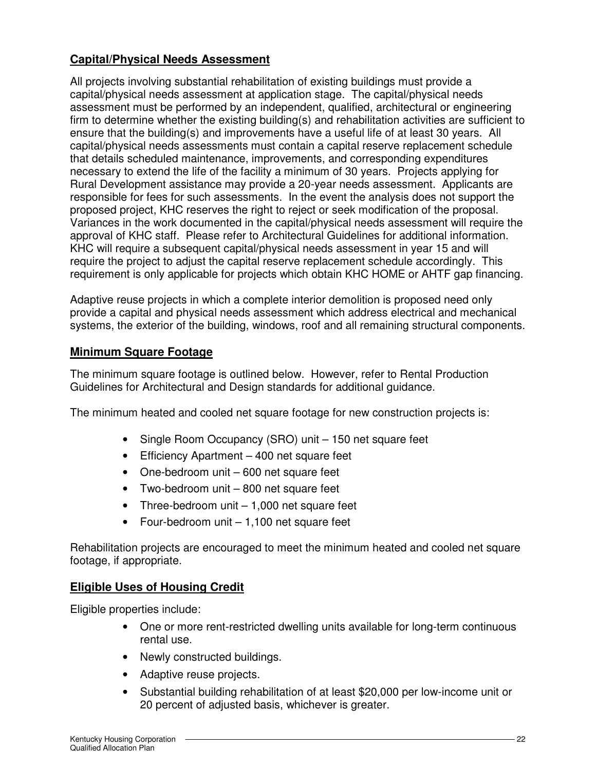# **Capital/Physical Needs Assessment**

All projects involving substantial rehabilitation of existing buildings must provide a capital/physical needs assessment at application stage. The capital/physical needs assessment must be performed by an independent, qualified, architectural or engineering firm to determine whether the existing building(s) and rehabilitation activities are sufficient to ensure that the building(s) and improvements have a useful life of at least 30 years. All capital/physical needs assessments must contain a capital reserve replacement schedule that details scheduled maintenance, improvements, and corresponding expenditures necessary to extend the life of the facility a minimum of 30 years. Projects applying for Rural Development assistance may provide a 20-year needs assessment. Applicants are responsible for fees for such assessments. In the event the analysis does not support the proposed project, KHC reserves the right to reject or seek modification of the proposal. Variances in the work documented in the capital/physical needs assessment will require the approval of KHC staff. Please refer to Architectural Guidelines for additional information. KHC will require a subsequent capital/physical needs assessment in year 15 and will require the project to adjust the capital reserve replacement schedule accordingly. This requirement is only applicable for projects which obtain KHC HOME or AHTF gap financing.

Adaptive reuse projects in which a complete interior demolition is proposed need only provide a capital and physical needs assessment which address electrical and mechanical systems, the exterior of the building, windows, roof and all remaining structural components.

# **Minimum Square Footage**

The minimum square footage is outlined below. However, refer to Rental Production Guidelines for Architectural and Design standards for additional guidance.

The minimum heated and cooled net square footage for new construction projects is:

- Single Room Occupancy (SRO) unit 150 net square feet
- Efficiency Apartment 400 net square feet
- One-bedroom unit 600 net square feet
- Two-bedroom unit 800 net square feet
- Three-bedroom unit 1,000 net square feet
- Four-bedroom unit 1,100 net square feet

Rehabilitation projects are encouraged to meet the minimum heated and cooled net square footage, if appropriate.

## **Eligible Uses of Housing Credit**

Eligible properties include:

- One or more rent-restricted dwelling units available for long-term continuous rental use.
- Newly constructed buildings.
- Adaptive reuse projects.
- Substantial building rehabilitation of at least \$20,000 per low-income unit or 20 percent of adjusted basis, whichever is greater.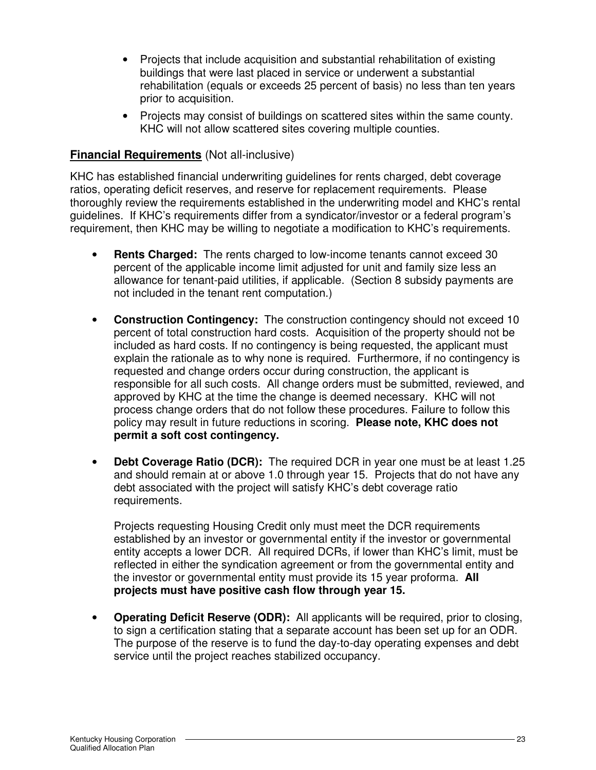- Projects that include acquisition and substantial rehabilitation of existing buildings that were last placed in service or underwent a substantial rehabilitation (equals or exceeds 25 percent of basis) no less than ten years prior to acquisition.
- Projects may consist of buildings on scattered sites within the same county. KHC will not allow scattered sites covering multiple counties.

## **Financial Requirements** (Not all-inclusive)

KHC has established financial underwriting guidelines for rents charged, debt coverage ratios, operating deficit reserves, and reserve for replacement requirements. Please thoroughly review the requirements established in the underwriting model and KHC's rental guidelines. If KHC's requirements differ from a syndicator/investor or a federal program's requirement, then KHC may be willing to negotiate a modification to KHC's requirements.

- **Rents Charged:** The rents charged to low-income tenants cannot exceed 30 percent of the applicable income limit adjusted for unit and family size less an allowance for tenant-paid utilities, if applicable. (Section 8 subsidy payments are not included in the tenant rent computation.)
- **Construction Contingency:** The construction contingency should not exceed 10 percent of total construction hard costs. Acquisition of the property should not be included as hard costs. If no contingency is being requested, the applicant must explain the rationale as to why none is required. Furthermore, if no contingency is requested and change orders occur during construction, the applicant is responsible for all such costs. All change orders must be submitted, reviewed, and approved by KHC at the time the change is deemed necessary. KHC will not process change orders that do not follow these procedures. Failure to follow this policy may result in future reductions in scoring. **Please note, KHC does not permit a soft cost contingency.**
- **Debt Coverage Ratio (DCR):** The required DCR in year one must be at least 1.25 and should remain at or above 1.0 through year 15. Projects that do not have any debt associated with the project will satisfy KHC's debt coverage ratio requirements.

Projects requesting Housing Credit only must meet the DCR requirements established by an investor or governmental entity if the investor or governmental entity accepts a lower DCR. All required DCRs, if lower than KHC's limit, must be reflected in either the syndication agreement or from the governmental entity and the investor or governmental entity must provide its 15 year proforma. **All projects must have positive cash flow through year 15.**

• **Operating Deficit Reserve (ODR):** All applicants will be required, prior to closing, to sign a certification stating that a separate account has been set up for an ODR. The purpose of the reserve is to fund the day-to-day operating expenses and debt service until the project reaches stabilized occupancy.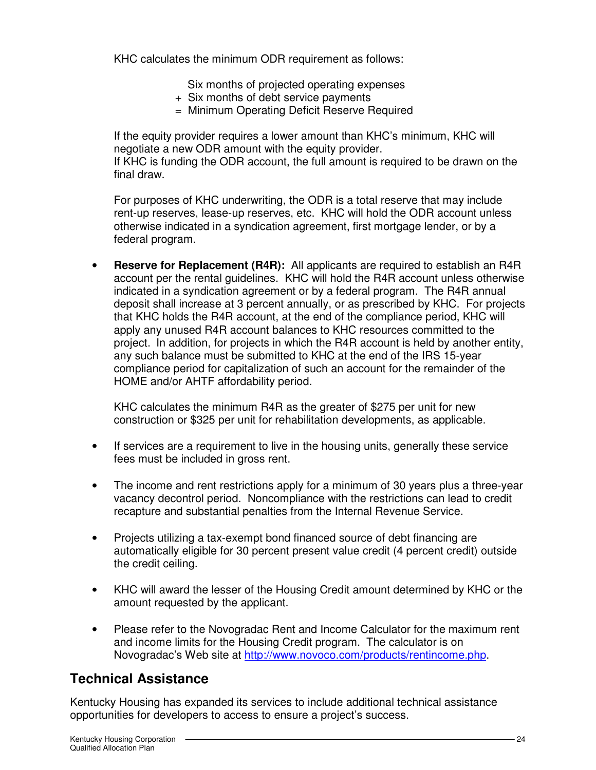KHC calculates the minimum ODR requirement as follows:

Six months of projected operating expenses

- + Six months of debt service payments
- = Minimum Operating Deficit Reserve Required

If the equity provider requires a lower amount than KHC's minimum, KHC will negotiate a new ODR amount with the equity provider.

If KHC is funding the ODR account, the full amount is required to be drawn on the final draw.

For purposes of KHC underwriting, the ODR is a total reserve that may include rent-up reserves, lease-up reserves, etc. KHC will hold the ODR account unless otherwise indicated in a syndication agreement, first mortgage lender, or by a federal program.

• **Reserve for Replacement (R4R):** All applicants are required to establish an R4R account per the rental guidelines. KHC will hold the R4R account unless otherwise indicated in a syndication agreement or by a federal program. The R4R annual deposit shall increase at 3 percent annually, or as prescribed by KHC. For projects that KHC holds the R4R account, at the end of the compliance period, KHC will apply any unused R4R account balances to KHC resources committed to the project. In addition, for projects in which the R4R account is held by another entity, any such balance must be submitted to KHC at the end of the IRS 15-year compliance period for capitalization of such an account for the remainder of the HOME and/or AHTF affordability period.

KHC calculates the minimum R4R as the greater of \$275 per unit for new construction or \$325 per unit for rehabilitation developments, as applicable.

- If services are a requirement to live in the housing units, generally these service fees must be included in gross rent.
- The income and rent restrictions apply for a minimum of 30 years plus a three-year vacancy decontrol period. Noncompliance with the restrictions can lead to credit recapture and substantial penalties from the Internal Revenue Service.
- Projects utilizing a tax-exempt bond financed source of debt financing are automatically eligible for 30 percent present value credit (4 percent credit) outside the credit ceiling.
- KHC will award the lesser of the Housing Credit amount determined by KHC or the amount requested by the applicant.
- Please refer to the Novogradac Rent and Income Calculator for the maximum rent and income limits for the Housing Credit program. The calculator is on Novogradac's Web site at http://www.novoco.com/products/rentincome.php.

# **Technical Assistance**

Kentucky Housing has expanded its services to include additional technical assistance opportunities for developers to access to ensure a project's success.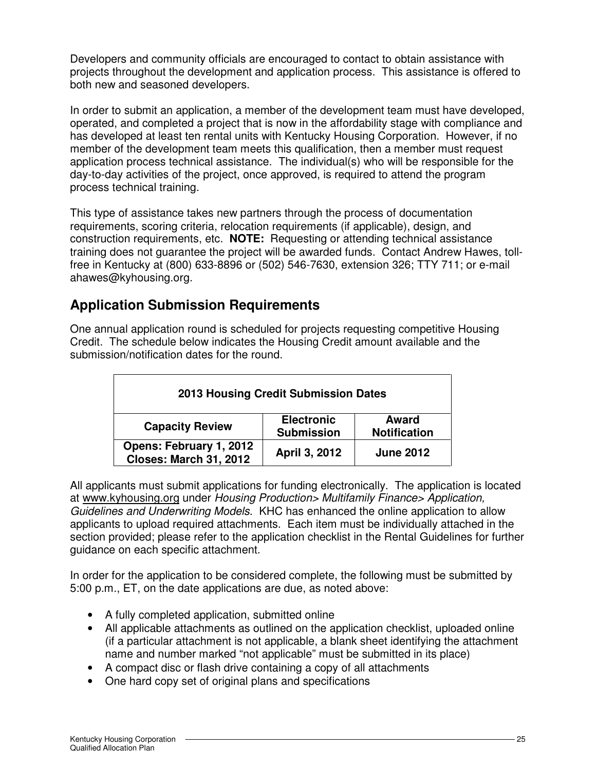Developers and community officials are encouraged to contact to obtain assistance with projects throughout the development and application process. This assistance is offered to both new and seasoned developers.

In order to submit an application, a member of the development team must have developed, operated, and completed a project that is now in the affordability stage with compliance and has developed at least ten rental units with Kentucky Housing Corporation. However, if no member of the development team meets this qualification, then a member must request application process technical assistance. The individual(s) who will be responsible for the day-to-day activities of the project, once approved, is required to attend the program process technical training.

This type of assistance takes new partners through the process of documentation requirements, scoring criteria, relocation requirements (if applicable), design, and construction requirements, etc. **NOTE:** Requesting or attending technical assistance training does not guarantee the project will be awarded funds. Contact Andrew Hawes, tollfree in Kentucky at (800) 633-8896 or (502) 546-7630, extension 326; TTY 711; or e-mail ahawes@kyhousing.org.

# **Application Submission Requirements**

One annual application round is scheduled for projects requesting competitive Housing Credit. The schedule below indicates the Housing Credit amount available and the submission/notification dates for the round.

| 2013 Housing Credit Submission Dates                     |                                        |                              |  |
|----------------------------------------------------------|----------------------------------------|------------------------------|--|
| <b>Capacity Review</b>                                   | <b>Electronic</b><br><b>Submission</b> | Award<br><b>Notification</b> |  |
| Opens: February 1, 2012<br><b>Closes: March 31, 2012</b> | April 3, 2012                          | <b>June 2012</b>             |  |

All applicants must submit applications for funding electronically. The application is located at www.kyhousing.org under Housing Production> Multifamily Finance> Application, Guidelines and Underwriting Models. KHC has enhanced the online application to allow applicants to upload required attachments. Each item must be individually attached in the section provided; please refer to the application checklist in the Rental Guidelines for further guidance on each specific attachment.

In order for the application to be considered complete, the following must be submitted by 5:00 p.m., ET, on the date applications are due, as noted above:

- A fully completed application, submitted online
- All applicable attachments as outlined on the application checklist, uploaded online (if a particular attachment is not applicable, a blank sheet identifying the attachment name and number marked "not applicable" must be submitted in its place)
- A compact disc or flash drive containing a copy of all attachments
- One hard copy set of original plans and specifications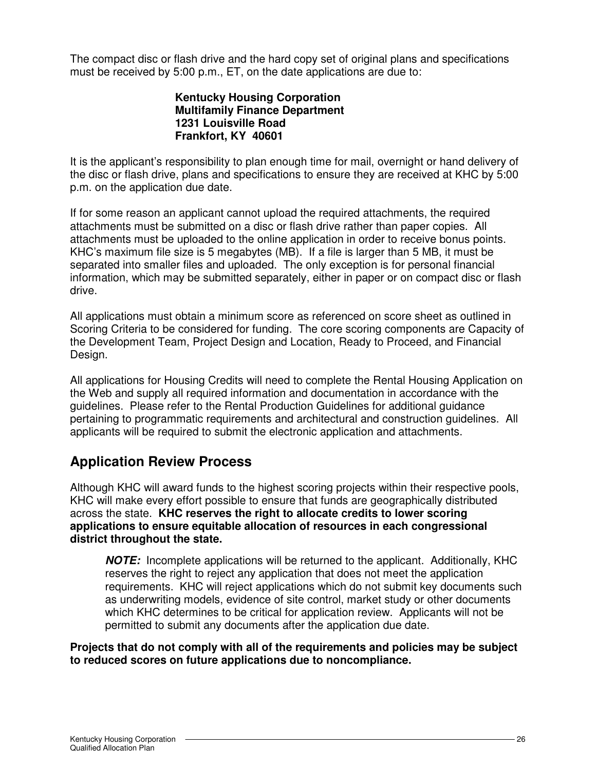The compact disc or flash drive and the hard copy set of original plans and specifications must be received by 5:00 p.m., ET, on the date applications are due to:

## **Kentucky Housing Corporation Multifamily Finance Department 1231 Louisville Road Frankfort, KY 40601**

It is the applicant's responsibility to plan enough time for mail, overnight or hand delivery of the disc or flash drive, plans and specifications to ensure they are received at KHC by 5:00 p.m. on the application due date.

If for some reason an applicant cannot upload the required attachments, the required attachments must be submitted on a disc or flash drive rather than paper copies. All attachments must be uploaded to the online application in order to receive bonus points. KHC's maximum file size is 5 megabytes (MB). If a file is larger than 5 MB, it must be separated into smaller files and uploaded. The only exception is for personal financial information, which may be submitted separately, either in paper or on compact disc or flash drive.

All applications must obtain a minimum score as referenced on score sheet as outlined in Scoring Criteria to be considered for funding. The core scoring components are Capacity of the Development Team, Project Design and Location, Ready to Proceed, and Financial Design.

All applications for Housing Credits will need to complete the Rental Housing Application on the Web and supply all required information and documentation in accordance with the guidelines. Please refer to the Rental Production Guidelines for additional guidance pertaining to programmatic requirements and architectural and construction guidelines. All applicants will be required to submit the electronic application and attachments.

# **Application Review Process**

Although KHC will award funds to the highest scoring projects within their respective pools, KHC will make every effort possible to ensure that funds are geographically distributed across the state. **KHC reserves the right to allocate credits to lower scoring applications to ensure equitable allocation of resources in each congressional district throughout the state.** 

**NOTE:** Incomplete applications will be returned to the applicant. Additionally, KHC reserves the right to reject any application that does not meet the application requirements. KHC will reject applications which do not submit key documents such as underwriting models, evidence of site control, market study or other documents which KHC determines to be critical for application review. Applicants will not be permitted to submit any documents after the application due date.

**Projects that do not comply with all of the requirements and policies may be subject to reduced scores on future applications due to noncompliance.**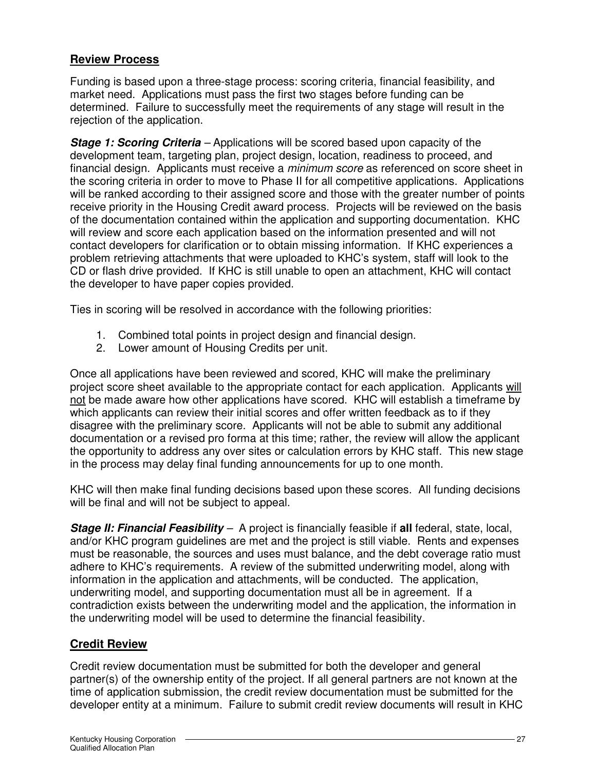## **Review Process**

Funding is based upon a three-stage process: scoring criteria, financial feasibility, and market need. Applications must pass the first two stages before funding can be determined. Failure to successfully meet the requirements of any stage will result in the rejection of the application.

**Stage 1: Scoring Criteria** – Applications will be scored based upon capacity of the development team, targeting plan, project design, location, readiness to proceed, and financial design. Applicants must receive a *minimum score* as referenced on score sheet in the scoring criteria in order to move to Phase II for all competitive applications. Applications will be ranked according to their assigned score and those with the greater number of points receive priority in the Housing Credit award process. Projects will be reviewed on the basis of the documentation contained within the application and supporting documentation. KHC will review and score each application based on the information presented and will not contact developers for clarification or to obtain missing information. If KHC experiences a problem retrieving attachments that were uploaded to KHC's system, staff will look to the CD or flash drive provided. If KHC is still unable to open an attachment, KHC will contact the developer to have paper copies provided.

Ties in scoring will be resolved in accordance with the following priorities:

- 1. Combined total points in project design and financial design.
- 2. Lower amount of Housing Credits per unit.

Once all applications have been reviewed and scored, KHC will make the preliminary project score sheet available to the appropriate contact for each application. Applicants will not be made aware how other applications have scored. KHC will establish a timeframe by which applicants can review their initial scores and offer written feedback as to if they disagree with the preliminary score. Applicants will not be able to submit any additional documentation or a revised pro forma at this time; rather, the review will allow the applicant the opportunity to address any over sites or calculation errors by KHC staff. This new stage in the process may delay final funding announcements for up to one month.

KHC will then make final funding decisions based upon these scores. All funding decisions will be final and will not be subject to appeal.

**Stage II: Financial Feasibility** – A project is financially feasible if **all** federal, state, local, and/or KHC program guidelines are met and the project is still viable. Rents and expenses must be reasonable, the sources and uses must balance, and the debt coverage ratio must adhere to KHC's requirements. A review of the submitted underwriting model, along with information in the application and attachments, will be conducted. The application, underwriting model, and supporting documentation must all be in agreement. If a contradiction exists between the underwriting model and the application, the information in the underwriting model will be used to determine the financial feasibility.

# **Credit Review**

Credit review documentation must be submitted for both the developer and general partner(s) of the ownership entity of the project. If all general partners are not known at the time of application submission, the credit review documentation must be submitted for the developer entity at a minimum. Failure to submit credit review documents will result in KHC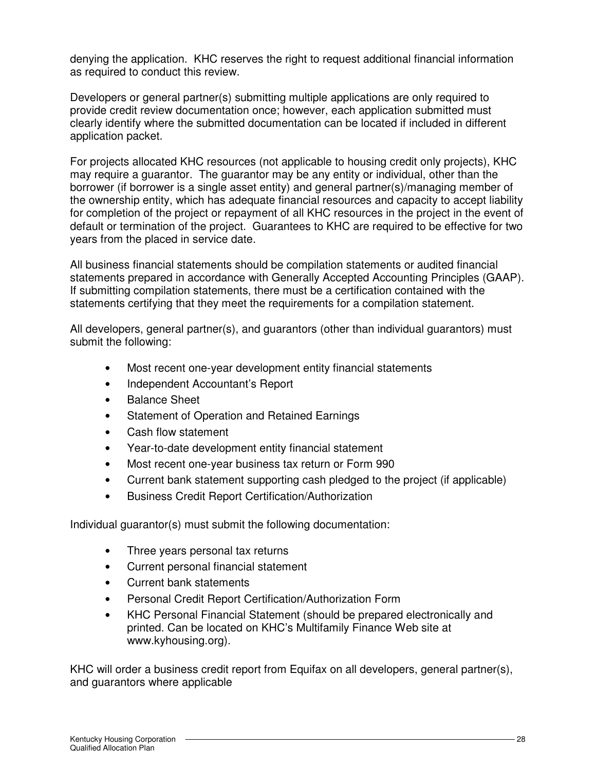denying the application. KHC reserves the right to request additional financial information as required to conduct this review.

Developers or general partner(s) submitting multiple applications are only required to provide credit review documentation once; however, each application submitted must clearly identify where the submitted documentation can be located if included in different application packet.

For projects allocated KHC resources (not applicable to housing credit only projects), KHC may require a guarantor. The guarantor may be any entity or individual, other than the borrower (if borrower is a single asset entity) and general partner(s)/managing member of the ownership entity, which has adequate financial resources and capacity to accept liability for completion of the project or repayment of all KHC resources in the project in the event of default or termination of the project. Guarantees to KHC are required to be effective for two years from the placed in service date.

All business financial statements should be compilation statements or audited financial statements prepared in accordance with Generally Accepted Accounting Principles (GAAP). If submitting compilation statements, there must be a certification contained with the statements certifying that they meet the requirements for a compilation statement.

All developers, general partner(s), and guarantors (other than individual guarantors) must submit the following:

- Most recent one-year development entity financial statements
- Independent Accountant's Report
- Balance Sheet
- Statement of Operation and Retained Earnings
- Cash flow statement
- Year-to-date development entity financial statement
- Most recent one-year business tax return or Form 990
- Current bank statement supporting cash pledged to the project (if applicable)
- Business Credit Report Certification/Authorization

Individual guarantor(s) must submit the following documentation:

- Three years personal tax returns
- Current personal financial statement
- Current bank statements
- Personal Credit Report Certification/Authorization Form
- KHC Personal Financial Statement (should be prepared electronically and printed. Can be located on KHC's Multifamily Finance Web site at www.kyhousing.org).

KHC will order a business credit report from Equifax on all developers, general partner(s), and guarantors where applicable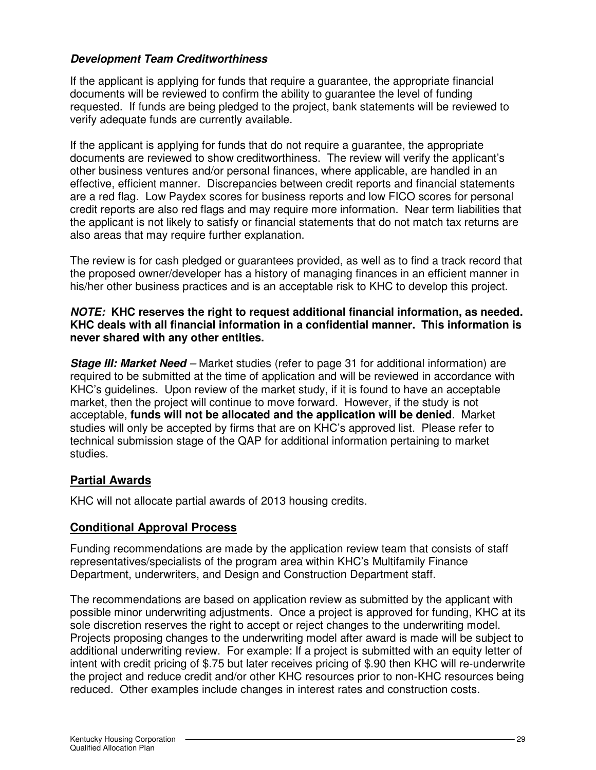## **Development Team Creditworthiness**

If the applicant is applying for funds that require a guarantee, the appropriate financial documents will be reviewed to confirm the ability to guarantee the level of funding requested. If funds are being pledged to the project, bank statements will be reviewed to verify adequate funds are currently available.

If the applicant is applying for funds that do not require a guarantee, the appropriate documents are reviewed to show creditworthiness. The review will verify the applicant's other business ventures and/or personal finances, where applicable, are handled in an effective, efficient manner. Discrepancies between credit reports and financial statements are a red flag. Low Paydex scores for business reports and low FICO scores for personal credit reports are also red flags and may require more information. Near term liabilities that the applicant is not likely to satisfy or financial statements that do not match tax returns are also areas that may require further explanation.

The review is for cash pledged or guarantees provided, as well as to find a track record that the proposed owner/developer has a history of managing finances in an efficient manner in his/her other business practices and is an acceptable risk to KHC to develop this project.

#### **NOTE: KHC reserves the right to request additional financial information, as needed. KHC deals with all financial information in a confidential manner. This information is never shared with any other entities.**

**Stage III: Market Need** – Market studies (refer to page 31 for additional information) are required to be submitted at the time of application and will be reviewed in accordance with KHC's guidelines. Upon review of the market study, if it is found to have an acceptable market, then the project will continue to move forward. However, if the study is not acceptable, **funds will not be allocated and the application will be denied**. Market studies will only be accepted by firms that are on KHC's approved list. Please refer to technical submission stage of the QAP for additional information pertaining to market studies.

## **Partial Awards**

KHC will not allocate partial awards of 2013 housing credits.

## **Conditional Approval Process**

Funding recommendations are made by the application review team that consists of staff representatives/specialists of the program area within KHC's Multifamily Finance Department, underwriters, and Design and Construction Department staff.

The recommendations are based on application review as submitted by the applicant with possible minor underwriting adjustments. Once a project is approved for funding, KHC at its sole discretion reserves the right to accept or reject changes to the underwriting model. Projects proposing changes to the underwriting model after award is made will be subject to additional underwriting review. For example: If a project is submitted with an equity letter of intent with credit pricing of \$.75 but later receives pricing of \$.90 then KHC will re-underwrite the project and reduce credit and/or other KHC resources prior to non-KHC resources being reduced. Other examples include changes in interest rates and construction costs.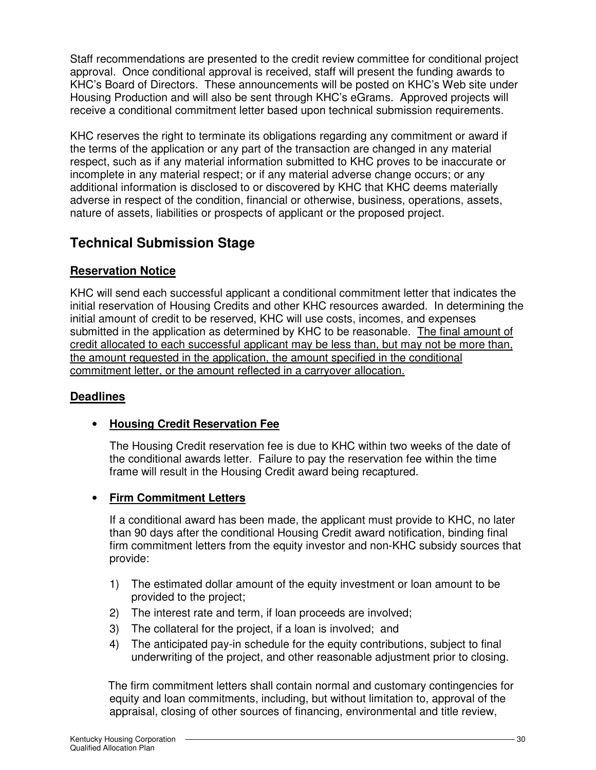Staff recommendations are presented to the credit review committee for conditional project approval. Once conditional approval is received, staff will present the funding awards to KHC's Board of Directors. These announcements will be posted on KHC's Web site under Housing Production and will also be sent through KHC's eGrams. Approved projects will receive a conditional commitment letter based upon technical submission requirements.

KHC reserves the right to terminate its obligations regarding any commitment or award if the terms of the application or any part of the transaction are changed in any material respect, such as if any material information submitted to KHC proves to be inaccurate or incomplete in any material respect; or if any material adverse change occurs; or any additional information is disclosed to or discovered by KHC that KHC deems materially adverse in respect of the condition, financial or otherwise, business, operations, assets, nature of assets, liabilities or prospects of applicant or the proposed project.

# **Technical Submission Stage**

# **Reservation Notice**

KHC will send each successful applicant a conditional commitment letter that indicates the initial reservation of Housing Credits and other KHC resources awarded. In determining the initial amount of credit to be reserved, KHC will use costs, incomes, and expenses submitted in the application as determined by KHC to be reasonable. The final amount of credit allocated to each successful applicant may be less than, but may not be more than, the amount requested in the application, the amount specified in the conditional commitment letter, or the amount reflected in a carryover allocation.

# **Deadlines**

## • **Housing Credit Reservation Fee**

The Housing Credit reservation fee is due to KHC within two weeks of the date of the conditional awards letter. Failure to pay the reservation fee within the time frame will result in the Housing Credit award being recaptured.

## • **Firm Commitment Letters**

If a conditional award has been made, the applicant must provide to KHC, no later than 90 days after the conditional Housing Credit award notification, binding final firm commitment letters from the equity investor and non-KHC subsidy sources that provide:

- 1) The estimated dollar amount of the equity investment or loan amount to be provided to the project;
- 2) The interest rate and term, if loan proceeds are involved;
- 3) The collateral for the project, if a loan is involved; and
- 4) The anticipated pay-in schedule for the equity contributions, subject to final underwriting of the project, and other reasonable adjustment prior to closing.

 The firm commitment letters shall contain normal and customary contingencies for equity and loan commitments, including, but without limitation to, approval of the appraisal, closing of other sources of financing, environmental and title review,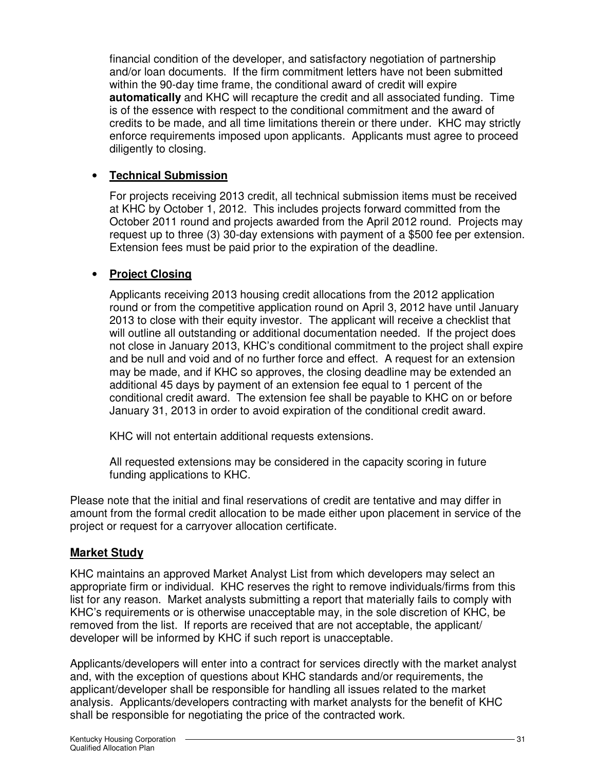financial condition of the developer, and satisfactory negotiation of partnership and/or loan documents. If the firm commitment letters have not been submitted within the 90-day time frame, the conditional award of credit will expire **automatically** and KHC will recapture the credit and all associated funding. Time is of the essence with respect to the conditional commitment and the award of credits to be made, and all time limitations therein or there under. KHC may strictly enforce requirements imposed upon applicants. Applicants must agree to proceed diligently to closing.

## • **Technical Submission**

For projects receiving 2013 credit, all technical submission items must be received at KHC by October 1, 2012. This includes projects forward committed from the October 2011 round and projects awarded from the April 2012 round. Projects may request up to three (3) 30-day extensions with payment of a \$500 fee per extension. Extension fees must be paid prior to the expiration of the deadline.

## • **Project Closing**

Applicants receiving 2013 housing credit allocations from the 2012 application round or from the competitive application round on April 3, 2012 have until January 2013 to close with their equity investor. The applicant will receive a checklist that will outline all outstanding or additional documentation needed. If the project does not close in January 2013, KHC's conditional commitment to the project shall expire and be null and void and of no further force and effect. A request for an extension may be made, and if KHC so approves, the closing deadline may be extended an additional 45 days by payment of an extension fee equal to 1 percent of the conditional credit award. The extension fee shall be payable to KHC on or before January 31, 2013 in order to avoid expiration of the conditional credit award.

KHC will not entertain additional requests extensions.

All requested extensions may be considered in the capacity scoring in future funding applications to KHC.

Please note that the initial and final reservations of credit are tentative and may differ in amount from the formal credit allocation to be made either upon placement in service of the project or request for a carryover allocation certificate.

## **Market Study**

KHC maintains an approved Market Analyst List from which developers may select an appropriate firm or individual. KHC reserves the right to remove individuals/firms from this list for any reason. Market analysts submitting a report that materially fails to comply with KHC's requirements or is otherwise unacceptable may, in the sole discretion of KHC, be removed from the list. If reports are received that are not acceptable, the applicant/ developer will be informed by KHC if such report is unacceptable.

Applicants/developers will enter into a contract for services directly with the market analyst and, with the exception of questions about KHC standards and/or requirements, the applicant/developer shall be responsible for handling all issues related to the market analysis. Applicants/developers contracting with market analysts for the benefit of KHC shall be responsible for negotiating the price of the contracted work.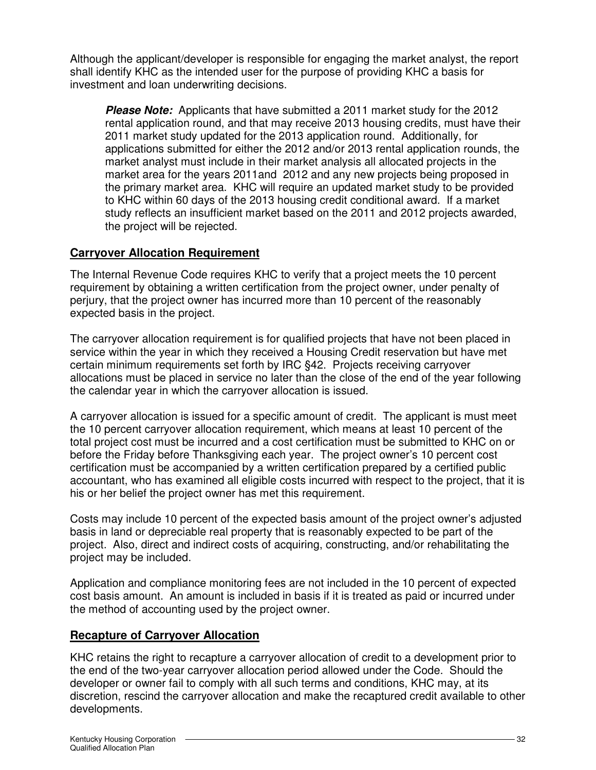Although the applicant/developer is responsible for engaging the market analyst, the report shall identify KHC as the intended user for the purpose of providing KHC a basis for investment and loan underwriting decisions.

**Please Note:** Applicants that have submitted a 2011 market study for the 2012 rental application round, and that may receive 2013 housing credits, must have their 2011 market study updated for the 2013 application round. Additionally, for applications submitted for either the 2012 and/or 2013 rental application rounds, the market analyst must include in their market analysis all allocated projects in the market area for the years 2011and 2012 and any new projects being proposed in the primary market area. KHC will require an updated market study to be provided to KHC within 60 days of the 2013 housing credit conditional award. If a market study reflects an insufficient market based on the 2011 and 2012 projects awarded, the project will be rejected.

# **Carryover Allocation Requirement**

The Internal Revenue Code requires KHC to verify that a project meets the 10 percent requirement by obtaining a written certification from the project owner, under penalty of perjury, that the project owner has incurred more than 10 percent of the reasonably expected basis in the project.

The carryover allocation requirement is for qualified projects that have not been placed in service within the year in which they received a Housing Credit reservation but have met certain minimum requirements set forth by IRC §42. Projects receiving carryover allocations must be placed in service no later than the close of the end of the year following the calendar year in which the carryover allocation is issued.

A carryover allocation is issued for a specific amount of credit. The applicant is must meet the 10 percent carryover allocation requirement, which means at least 10 percent of the total project cost must be incurred and a cost certification must be submitted to KHC on or before the Friday before Thanksgiving each year. The project owner's 10 percent cost certification must be accompanied by a written certification prepared by a certified public accountant, who has examined all eligible costs incurred with respect to the project, that it is his or her belief the project owner has met this requirement.

Costs may include 10 percent of the expected basis amount of the project owner's adjusted basis in land or depreciable real property that is reasonably expected to be part of the project. Also, direct and indirect costs of acquiring, constructing, and/or rehabilitating the project may be included.

Application and compliance monitoring fees are not included in the 10 percent of expected cost basis amount. An amount is included in basis if it is treated as paid or incurred under the method of accounting used by the project owner.

# **Recapture of Carryover Allocation**

KHC retains the right to recapture a carryover allocation of credit to a development prior to the end of the two-year carryover allocation period allowed under the Code. Should the developer or owner fail to comply with all such terms and conditions, KHC may, at its discretion, rescind the carryover allocation and make the recaptured credit available to other developments.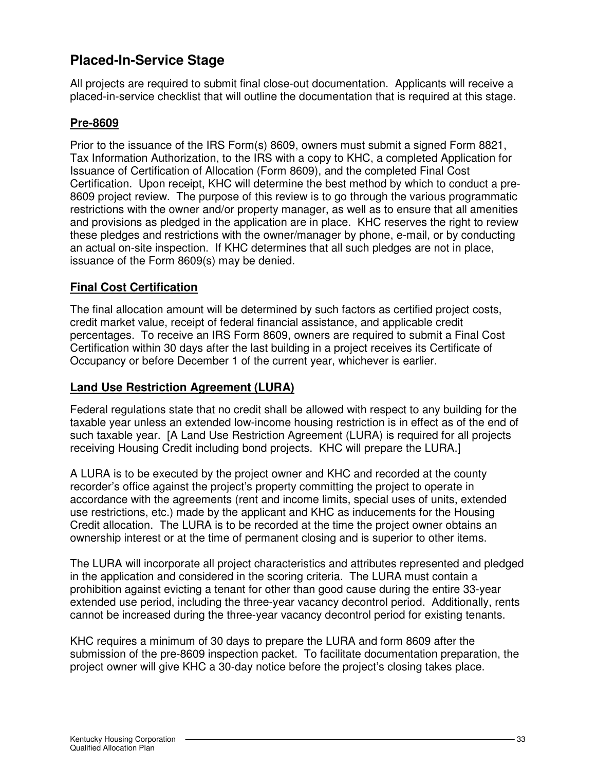# **Placed-In-Service Stage**

All projects are required to submit final close-out documentation. Applicants will receive a placed-in-service checklist that will outline the documentation that is required at this stage.

## **Pre-8609**

Prior to the issuance of the IRS Form(s) 8609, owners must submit a signed Form 8821, Tax Information Authorization, to the IRS with a copy to KHC, a completed Application for Issuance of Certification of Allocation (Form 8609), and the completed Final Cost Certification. Upon receipt, KHC will determine the best method by which to conduct a pre-8609 project review. The purpose of this review is to go through the various programmatic restrictions with the owner and/or property manager, as well as to ensure that all amenities and provisions as pledged in the application are in place. KHC reserves the right to review these pledges and restrictions with the owner/manager by phone, e-mail, or by conducting an actual on-site inspection. If KHC determines that all such pledges are not in place, issuance of the Form 8609(s) may be denied.

## **Final Cost Certification**

The final allocation amount will be determined by such factors as certified project costs, credit market value, receipt of federal financial assistance, and applicable credit percentages. To receive an IRS Form 8609, owners are required to submit a Final Cost Certification within 30 days after the last building in a project receives its Certificate of Occupancy or before December 1 of the current year, whichever is earlier.

## **Land Use Restriction Agreement (LURA)**

Federal regulations state that no credit shall be allowed with respect to any building for the taxable year unless an extended low-income housing restriction is in effect as of the end of such taxable year. [A Land Use Restriction Agreement (LURA) is required for all projects receiving Housing Credit including bond projects. KHC will prepare the LURA.]

A LURA is to be executed by the project owner and KHC and recorded at the county recorder's office against the project's property committing the project to operate in accordance with the agreements (rent and income limits, special uses of units, extended use restrictions, etc.) made by the applicant and KHC as inducements for the Housing Credit allocation. The LURA is to be recorded at the time the project owner obtains an ownership interest or at the time of permanent closing and is superior to other items.

The LURA will incorporate all project characteristics and attributes represented and pledged in the application and considered in the scoring criteria. The LURA must contain a prohibition against evicting a tenant for other than good cause during the entire 33-year extended use period, including the three-year vacancy decontrol period. Additionally, rents cannot be increased during the three-year vacancy decontrol period for existing tenants.

KHC requires a minimum of 30 days to prepare the LURA and form 8609 after the submission of the pre-8609 inspection packet. To facilitate documentation preparation, the project owner will give KHC a 30-day notice before the project's closing takes place.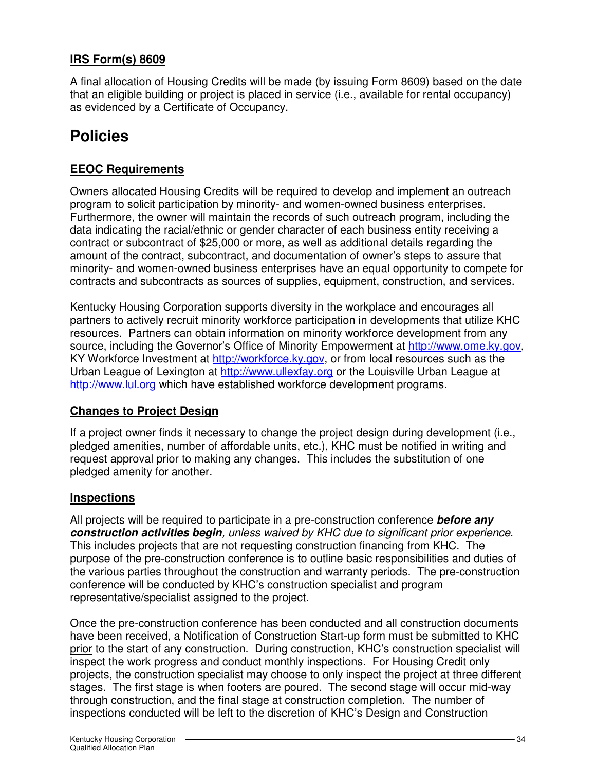## **IRS Form(s) 8609**

A final allocation of Housing Credits will be made (by issuing Form 8609) based on the date that an eligible building or project is placed in service (i.e., available for rental occupancy) as evidenced by a Certificate of Occupancy.

# **Policies**

## **EEOC Requirements**

Owners allocated Housing Credits will be required to develop and implement an outreach program to solicit participation by minority- and women-owned business enterprises. Furthermore, the owner will maintain the records of such outreach program, including the data indicating the racial/ethnic or gender character of each business entity receiving a contract or subcontract of \$25,000 or more, as well as additional details regarding the amount of the contract, subcontract, and documentation of owner's steps to assure that minority- and women-owned business enterprises have an equal opportunity to compete for contracts and subcontracts as sources of supplies, equipment, construction, and services.

Kentucky Housing Corporation supports diversity in the workplace and encourages all partners to actively recruit minority workforce participation in developments that utilize KHC resources. Partners can obtain information on minority workforce development from any source, including the Governor's Office of Minority Empowerment at http://www.ome.ky.gov, KY Workforce Investment at http://workforce.ky.gov, or from local resources such as the Urban League of Lexington at http://www.ullexfay.org or the Louisville Urban League at http://www.lul.org which have established workforce development programs.

## **Changes to Project Design**

If a project owner finds it necessary to change the project design during development (i.e., pledged amenities, number of affordable units, etc.), KHC must be notified in writing and request approval prior to making any changes. This includes the substitution of one pledged amenity for another.

## **Inspections**

All projects will be required to participate in a pre-construction conference **before any construction activities begin**, unless waived by KHC due to significant prior experience. This includes projects that are not requesting construction financing from KHC. The purpose of the pre-construction conference is to outline basic responsibilities and duties of the various parties throughout the construction and warranty periods. The pre-construction conference will be conducted by KHC's construction specialist and program representative/specialist assigned to the project.

Once the pre-construction conference has been conducted and all construction documents have been received, a Notification of Construction Start-up form must be submitted to KHC prior to the start of any construction. During construction, KHC's construction specialist will inspect the work progress and conduct monthly inspections. For Housing Credit only projects, the construction specialist may choose to only inspect the project at three different stages. The first stage is when footers are poured. The second stage will occur mid-way through construction, and the final stage at construction completion. The number of inspections conducted will be left to the discretion of KHC's Design and Construction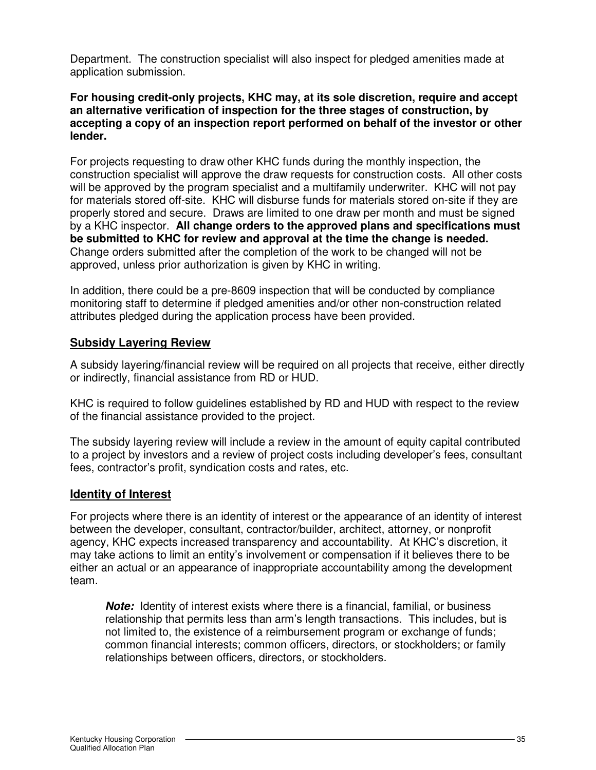Department. The construction specialist will also inspect for pledged amenities made at application submission.

#### **For housing credit-only projects, KHC may, at its sole discretion, require and accept an alternative verification of inspection for the three stages of construction, by accepting a copy of an inspection report performed on behalf of the investor or other lender.**

For projects requesting to draw other KHC funds during the monthly inspection, the construction specialist will approve the draw requests for construction costs. All other costs will be approved by the program specialist and a multifamily underwriter. KHC will not pay for materials stored off-site. KHC will disburse funds for materials stored on-site if they are properly stored and secure. Draws are limited to one draw per month and must be signed by a KHC inspector. **All change orders to the approved plans and specifications must be submitted to KHC for review and approval at the time the change is needed.** Change orders submitted after the completion of the work to be changed will not be approved, unless prior authorization is given by KHC in writing.

In addition, there could be a pre-8609 inspection that will be conducted by compliance monitoring staff to determine if pledged amenities and/or other non-construction related attributes pledged during the application process have been provided.

## **Subsidy Layering Review**

A subsidy layering/financial review will be required on all projects that receive, either directly or indirectly, financial assistance from RD or HUD.

KHC is required to follow guidelines established by RD and HUD with respect to the review of the financial assistance provided to the project.

The subsidy layering review will include a review in the amount of equity capital contributed to a project by investors and a review of project costs including developer's fees, consultant fees, contractor's profit, syndication costs and rates, etc.

## **Identity of Interest**

For projects where there is an identity of interest or the appearance of an identity of interest between the developer, consultant, contractor/builder, architect, attorney, or nonprofit agency, KHC expects increased transparency and accountability. At KHC's discretion, it may take actions to limit an entity's involvement or compensation if it believes there to be either an actual or an appearance of inappropriate accountability among the development team.

**Note:** Identity of interest exists where there is a financial, familial, or business relationship that permits less than arm's length transactions. This includes, but is not limited to, the existence of a reimbursement program or exchange of funds; common financial interests; common officers, directors, or stockholders; or family relationships between officers, directors, or stockholders.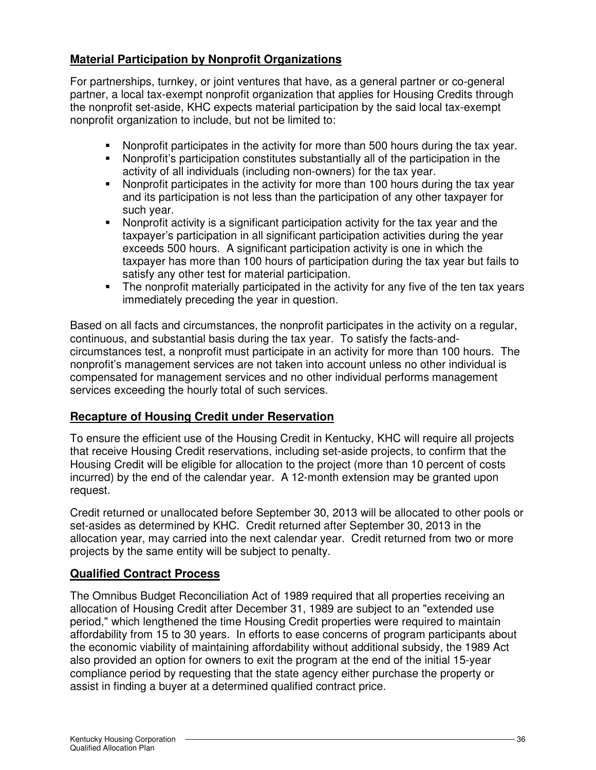## **Material Participation by Nonprofit Organizations**

For partnerships, turnkey, or joint ventures that have, as a general partner or co-general partner, a local tax-exempt nonprofit organization that applies for Housing Credits through the nonprofit set-aside, KHC expects material participation by the said local tax-exempt nonprofit organization to include, but not be limited to:

- Nonprofit participates in the activity for more than 500 hours during the tax year.
- Nonprofit's participation constitutes substantially all of the participation in the activity of all individuals (including non-owners) for the tax year.
- Nonprofit participates in the activity for more than 100 hours during the tax year and its participation is not less than the participation of any other taxpayer for such year.
- Nonprofit activity is a significant participation activity for the tax year and the taxpayer's participation in all significant participation activities during the year exceeds 500 hours. A significant participation activity is one in which the taxpayer has more than 100 hours of participation during the tax year but fails to satisfy any other test for material participation.
- The nonprofit materially participated in the activity for any five of the ten tax years immediately preceding the year in question.

Based on all facts and circumstances, the nonprofit participates in the activity on a regular, continuous, and substantial basis during the tax year. To satisfy the facts-andcircumstances test, a nonprofit must participate in an activity for more than 100 hours. The nonprofit's management services are not taken into account unless no other individual is compensated for management services and no other individual performs management services exceeding the hourly total of such services.

## **Recapture of Housing Credit under Reservation**

To ensure the efficient use of the Housing Credit in Kentucky, KHC will require all projects that receive Housing Credit reservations, including set-aside projects, to confirm that the Housing Credit will be eligible for allocation to the project (more than 10 percent of costs incurred) by the end of the calendar year. A 12-month extension may be granted upon request.

Credit returned or unallocated before September 30, 2013 will be allocated to other pools or set-asides as determined by KHC. Credit returned after September 30, 2013 in the allocation year, may carried into the next calendar year. Credit returned from two or more projects by the same entity will be subject to penalty.

## **Qualified Contract Process**

The Omnibus Budget Reconciliation Act of 1989 required that all properties receiving an allocation of Housing Credit after December 31, 1989 are subject to an "extended use period," which lengthened the time Housing Credit properties were required to maintain affordability from 15 to 30 years. In efforts to ease concerns of program participants about the economic viability of maintaining affordability without additional subsidy, the 1989 Act also provided an option for owners to exit the program at the end of the initial 15-year compliance period by requesting that the state agency either purchase the property or assist in finding a buyer at a determined qualified contract price.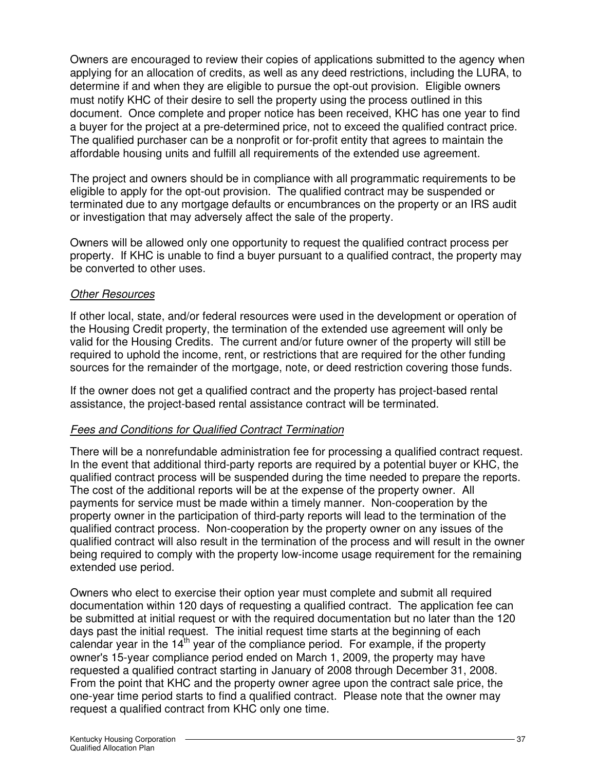Owners are encouraged to review their copies of applications submitted to the agency when applying for an allocation of credits, as well as any deed restrictions, including the LURA, to determine if and when they are eligible to pursue the opt-out provision. Eligible owners must notify KHC of their desire to sell the property using the process outlined in this document. Once complete and proper notice has been received, KHC has one year to find a buyer for the project at a pre-determined price, not to exceed the qualified contract price. The qualified purchaser can be a nonprofit or for-profit entity that agrees to maintain the affordable housing units and fulfill all requirements of the extended use agreement.

The project and owners should be in compliance with all programmatic requirements to be eligible to apply for the opt-out provision. The qualified contract may be suspended or terminated due to any mortgage defaults or encumbrances on the property or an IRS audit or investigation that may adversely affect the sale of the property.

Owners will be allowed only one opportunity to request the qualified contract process per property. If KHC is unable to find a buyer pursuant to a qualified contract, the property may be converted to other uses.

#### Other Resources

If other local, state, and/or federal resources were used in the development or operation of the Housing Credit property, the termination of the extended use agreement will only be valid for the Housing Credits. The current and/or future owner of the property will still be required to uphold the income, rent, or restrictions that are required for the other funding sources for the remainder of the mortgage, note, or deed restriction covering those funds.

If the owner does not get a qualified contract and the property has project-based rental assistance, the project-based rental assistance contract will be terminated.

## Fees and Conditions for Qualified Contract Termination

There will be a nonrefundable administration fee for processing a qualified contract request. In the event that additional third-party reports are required by a potential buyer or KHC, the qualified contract process will be suspended during the time needed to prepare the reports. The cost of the additional reports will be at the expense of the property owner. All payments for service must be made within a timely manner. Non-cooperation by the property owner in the participation of third-party reports will lead to the termination of the qualified contract process. Non-cooperation by the property owner on any issues of the qualified contract will also result in the termination of the process and will result in the owner being required to comply with the property low-income usage requirement for the remaining extended use period.

Owners who elect to exercise their option year must complete and submit all required documentation within 120 days of requesting a qualified contract. The application fee can be submitted at initial request or with the required documentation but no later than the 120 days past the initial request. The initial request time starts at the beginning of each calendar year in the  $14<sup>th</sup>$  year of the compliance period. For example, if the property owner's 15-year compliance period ended on March 1, 2009, the property may have requested a qualified contract starting in January of 2008 through December 31, 2008. From the point that KHC and the property owner agree upon the contract sale price, the one-year time period starts to find a qualified contract. Please note that the owner may request a qualified contract from KHC only one time.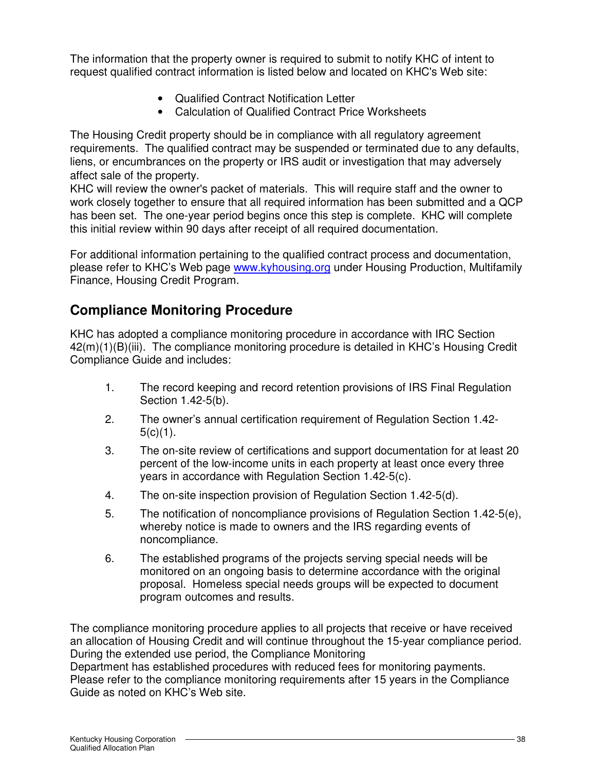The information that the property owner is required to submit to notify KHC of intent to request qualified contract information is listed below and located on KHC's Web site:

- Qualified Contract Notification Letter
- Calculation of Qualified Contract Price Worksheets

The Housing Credit property should be in compliance with all regulatory agreement requirements. The qualified contract may be suspended or terminated due to any defaults, liens, or encumbrances on the property or IRS audit or investigation that may adversely affect sale of the property.

KHC will review the owner's packet of materials. This will require staff and the owner to work closely together to ensure that all required information has been submitted and a QCP has been set. The one-year period begins once this step is complete. KHC will complete this initial review within 90 days after receipt of all required documentation.

For additional information pertaining to the qualified contract process and documentation, please refer to KHC's Web page www.kyhousing.org under Housing Production, Multifamily Finance, Housing Credit Program.

# **Compliance Monitoring Procedure**

KHC has adopted a compliance monitoring procedure in accordance with IRC Section 42(m)(1)(B)(iii). The compliance monitoring procedure is detailed in KHC's Housing Credit Compliance Guide and includes:

- 1. The record keeping and record retention provisions of IRS Final Regulation Section 1.42-5(b).
- 2. The owner's annual certification requirement of Regulation Section 1.42-  $5(c)(1)$ .
- 3. The on-site review of certifications and support documentation for at least 20 percent of the low-income units in each property at least once every three years in accordance with Regulation Section 1.42-5(c).
- 4. The on-site inspection provision of Regulation Section 1.42-5(d).
- 5. The notification of noncompliance provisions of Regulation Section 1.42-5(e), whereby notice is made to owners and the IRS regarding events of noncompliance.
- 6. The established programs of the projects serving special needs will be monitored on an ongoing basis to determine accordance with the original proposal. Homeless special needs groups will be expected to document program outcomes and results.

The compliance monitoring procedure applies to all projects that receive or have received an allocation of Housing Credit and will continue throughout the 15-year compliance period. During the extended use period, the Compliance Monitoring

Department has established procedures with reduced fees for monitoring payments. Please refer to the compliance monitoring requirements after 15 years in the Compliance Guide as noted on KHC's Web site.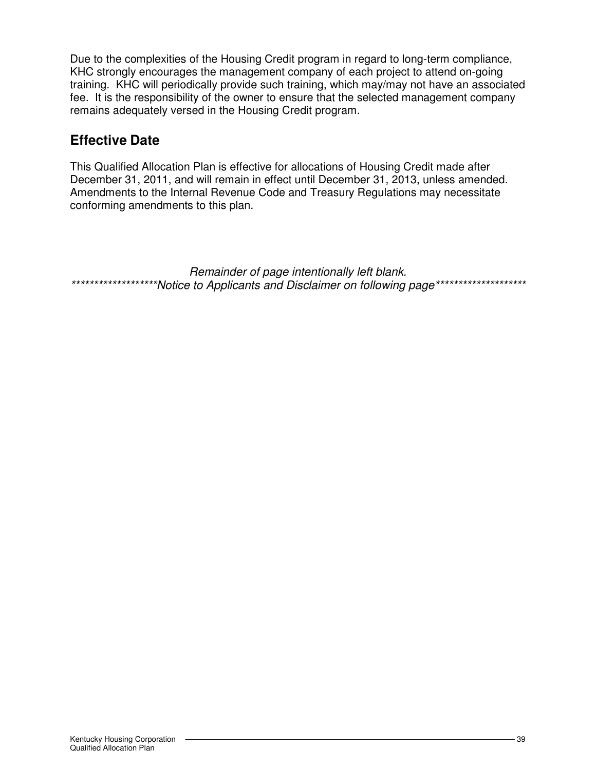Due to the complexities of the Housing Credit program in regard to long-term compliance, KHC strongly encourages the management company of each project to attend on-going training. KHC will periodically provide such training, which may/may not have an associated fee. It is the responsibility of the owner to ensure that the selected management company remains adequately versed in the Housing Credit program.

# **Effective Date**

This Qualified Allocation Plan is effective for allocations of Housing Credit made after December 31, 2011, and will remain in effect until December 31, 2013, unless amended. Amendments to the Internal Revenue Code and Treasury Regulations may necessitate conforming amendments to this plan.

Remainder of page intentionally left blank. \*\*\*\*\*\*\*\*\*\*\*\*\*\*\*\*\*\*\*\*\*Notice to Applicants and Disclaimer on following page\*\*\*\*\*\*\*\*\*\*\*\*\*\*\*\*\*\*\*\*